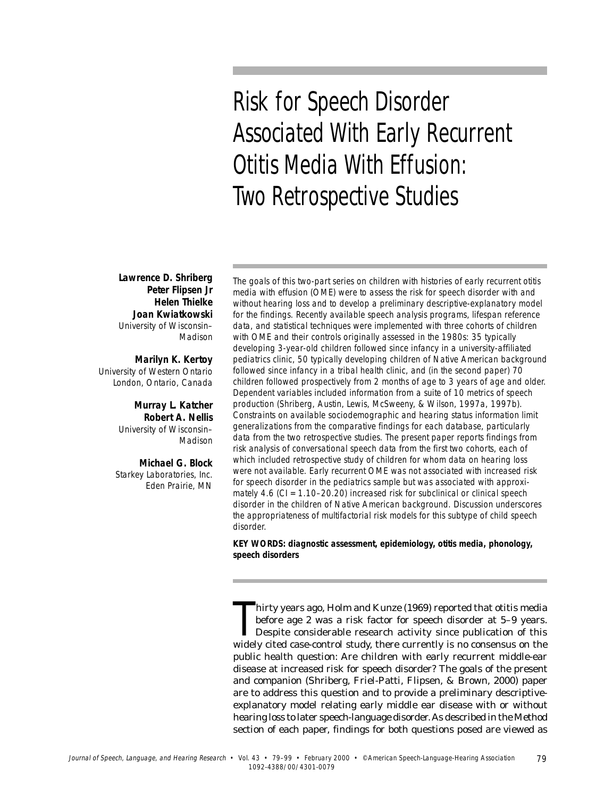Risk for Speech Disorder Associated With Early Recurrent Otitis Media With Effusion: Two Retrospective Studies

**Lawrence D. Shriberg Peter Flipsen Jr Helen Thielke Joan Kwiatkowski** University of Wisconsin– Madison

**Marilyn K. Kertoy** University of Western Ontario London, Ontario, Canada

> **Murray L. Katcher Robert A. Nellis** University of Wisconsin– Madison

**Michael G. Block** Starkey Laboratories, Inc. Eden Prairie, MN The goals of this two-part series on children with histories of early recurrent otitis media with effusion (OME) were to assess the risk for speech disorder with and without hearing loss and to develop a preliminary descriptive-explanatory model for the findings. Recently available speech analysis programs, lifespan reference data, and statistical techniques were implemented with three cohorts of children with OME and their controls originally assessed in the 1980s: 35 typically developing 3-year-old children followed since infancy in a university-affiliated pediatrics clinic, 50 typically developing children of Native American background followed since infancy in a tribal health clinic, and (in the second paper) 70 children followed prospectively from 2 months of age to 3 years of age and older. Dependent variables included information from a suite of 10 metrics of speech production (Shriberg, Austin, Lewis, McSweeny, & Wilson, 1997a, 1997b). Constraints on available sociodemographic and hearing status information limit generalizations from the comparative findings for each database, particularly data from the two retrospective studies. The present paper reports findings from risk analysis of conversational speech data from the first two cohorts, each of which included retrospective study of children for whom data on hearing loss were not available. Early recurrent OME was not associated with increased risk for speech disorder in the pediatrics sample but was associated with approximately 4.6 (CI = 1.10-20.20) increased risk for subclinical or clinical speech disorder in the children of Native American background. Discussion underscores the appropriateness of multifactorial risk models for this subtype of child speech disorder.

**KEY WORDS: diagnostic assessment, epidemiology, otitis media, phonology, speech disorders**

hirty years ago, Holm and Kunze (1969) reported that otitis media<br>before age 2 was a risk factor for speech disorder at 5–9 years.<br>Despite considerable research activity since publication of this<br>widely cited case-control hirty years ago, Holm and Kunze (1969) reported that otitis media before age 2 was a risk factor for speech disorder at 5–9 years. Despite considerable research activity since publication of this public health question: Are children with early recurrent middle-ear disease at increased risk for speech disorder? The goals of the present and companion (Shriberg, Friel-Patti, Flipsen, & Brown, 2000) paper are to address this question and to provide a preliminary descriptiveexplanatory model relating early middle ear disease with or without hearing loss to later speech-language disorder. As described in the Method section of each paper, findings for both questions posed are viewed as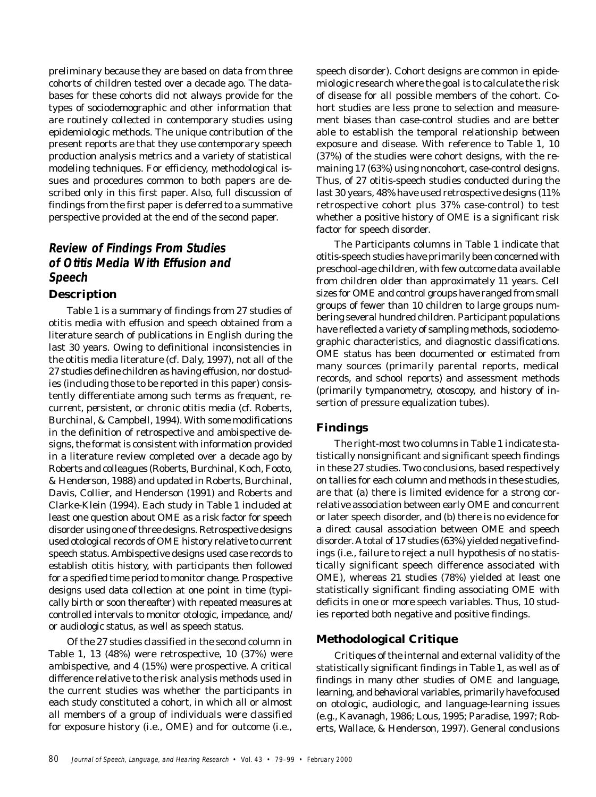preliminary because they are based on data from three cohorts of children tested over a decade ago. The databases for these cohorts did not always provide for the types of sociodemographic and other information that are routinely collected in contemporary studies using epidemiologic methods. The unique contribution of the present reports are that they use contemporary speech production analysis metrics and a variety of statistical modeling techniques. For efficiency, methodological issues and procedures common to both papers are described only in this first paper. Also, full discussion of findings from the first paper is deferred to a summative perspective provided at the end of the second paper.

# **Review of Findings From Studies of Otitis Media With Effusion and Speech**

#### **Description**

Table 1 is a summary of findings from 27 studies of otitis media with effusion and speech obtained from a literature search of publications in English during the last 30 years. Owing to definitional inconsistencies in the otitis media literature (cf. Daly, 1997), not all of the 27 studies define children as having effusion, nor do studies (including those to be reported in this paper) consistently differentiate among such terms as *frequent*, *recurrent*, *persistent*, or *chronic* otitis media (cf. Roberts, Burchinal, & Campbell, 1994). With some modifications in the definition of retrospective and ambispective designs, the format is consistent with information provided in a literature review completed over a decade ago by Roberts and colleagues (Roberts, Burchinal, Koch, Footo, & Henderson, 1988) and updated in Roberts, Burchinal, Davis, Collier, and Henderson (1991) and Roberts and Clarke-Klein (1994). Each study in Table 1 included at least one question about OME as a risk factor for speech disorder using one of three designs. Retrospective designs used otological records of OME history relative to current speech status. Ambispective designs used case records to establish otitis history, with participants then followed for a specified time period to monitor change. Prospective designs used data collection at one point in time (typically birth or soon thereafter) with repeated measures at controlled intervals to monitor otologic, impedance, and/ or audiologic status, as well as speech status.

Of the 27 studies classified in the second column in Table 1, 13 (48%) were retrospective, 10 (37%) were ambispective, and 4 (15%) were prospective. A critical difference relative to the risk analysis methods used in the current studies was whether the participants in each study constituted a cohort, in which all or almost all members of a group of individuals were classified for exposure history (i.e., OME) and for outcome (i.e.,

speech disorder). Cohort designs are common in epidemiologic research where the goal is to calculate the risk of disease for all possible members of the cohort. Cohort studies are less prone to selection and measurement biases than case-control studies and are better able to establish the temporal relationship between exposure and disease. With reference to Table 1, 10 (37%) of the studies were cohort designs, with the remaining 17 (63%) using noncohort, case-control designs. Thus, of 27 otitis-speech studies conducted during the last 30 years, 48% have used retrospective designs (11% retrospective cohort plus 37% case-control) to test whether a positive history of OME is a significant risk factor for speech disorder.

The Participants columns in Table 1 indicate that otitis-speech studies have primarily been concerned with preschool-age children, with few outcome data available from children older than approximately 11 years. Cell sizes for OME and control groups have ranged from small groups of fewer than 10 children to large groups numbering several hundred children. Participant populations have reflected a variety of sampling methods, sociodemographic characteristics, and diagnostic classifications. OME status has been documented or estimated from many sources (primarily parental reports, medical records, and school reports) and assessment methods (primarily tympanometry, otoscopy, and history of insertion of pressure equalization tubes).

## **Findings**

The right-most two columns in Table 1 indicate statistically nonsignificant and significant speech findings in these 27 studies. Two conclusions, based respectively on tallies for each column and methods in these studies, are that (a) there is limited evidence for a strong correlative association between early OME and concurrent or later speech disorder, and (b) there is no evidence for a direct causal association between OME and speech disorder. A total of 17 studies (63%) yielded negative findings (i.e., failure to reject a null hypothesis of no statistically significant speech difference associated with OME), whereas 21 studies (78%) yielded at least one statistically significant finding associating OME with deficits in one or more speech variables. Thus, 10 studies reported both negative and positive findings.

## **Methodological Critique**

Critiques of the internal and external validity of the statistically significant findings in Table 1, as well as of findings in many other studies of OME and language, learning, and behavioral variables, primarily have focused on otologic, audiologic, and language-learning issues (e.g., Kavanagh, 1986; Lous, 1995; Paradise, 1997; Roberts, Wallace, & Henderson, 1997). General conclusions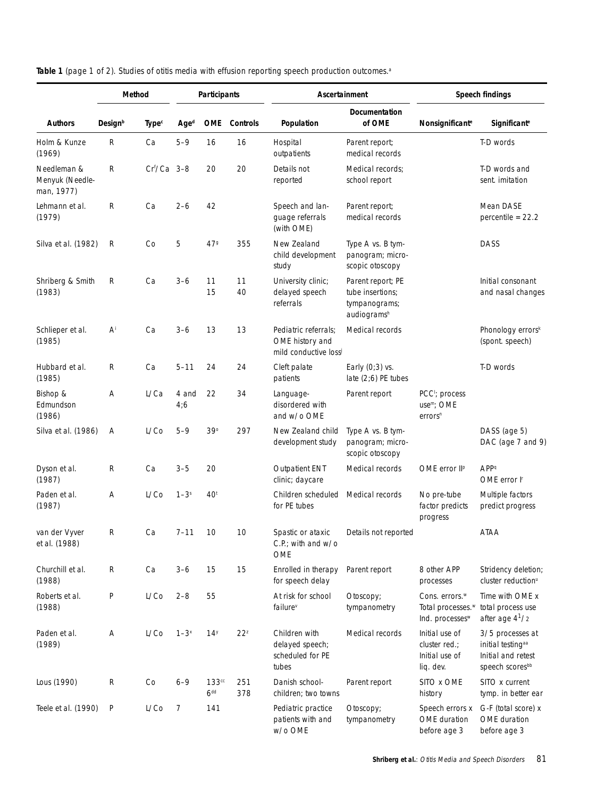Table 1 (page 1 of 2). Studies of otitis media with effusion reporting speech production outcomes.<sup>a</sup>

|                                              | Method              |                          | Participants |                                        |            | Ascertainment                                                   |                                                                       | Speech findings                                                                            |                                                                                            |  |
|----------------------------------------------|---------------------|--------------------------|--------------|----------------------------------------|------------|-----------------------------------------------------------------|-----------------------------------------------------------------------|--------------------------------------------------------------------------------------------|--------------------------------------------------------------------------------------------|--|
| <b>Authors</b>                               | Design <sup>b</sup> | <b>Type</b> <sup>c</sup> | Aged         | OME                                    | Controls   | Population                                                      | Documentation<br>of OME                                               | Nonsignificant <sup>e</sup>                                                                | Significant <sup>e</sup>                                                                   |  |
| Holm & Kunze<br>(1969)                       | R                   | Ca                       | $5 - 9$      | 16                                     | 16         | Hospital<br>outpatients                                         | Parent report;<br>medical records                                     |                                                                                            | T-D words                                                                                  |  |
| Needleman &<br>Menyuk (Needle-<br>man, 1977) | R                   | $Crf/Ca$ 3-8             |              | 20                                     | 20         | Details not<br>reported                                         | Medical records:<br>school report                                     |                                                                                            | T-D words and<br>sent. imitation                                                           |  |
| Lehmann et al.<br>(1979)                     | R                   | Ca                       | $2 - 6$      | 42                                     |            | Speech and lan-<br>guage referrals<br>(with OME)                | Parent report;<br>medical records                                     |                                                                                            | Mean DASE<br>percentile = $22.2$                                                           |  |
| Silva et al. (1982)                          | R                   | Co                       | 5            | 479                                    | 355        | New Zealand<br>child development<br>study                       | Type A vs. B tym-<br>panogram; micro-<br>scopic otoscopy              |                                                                                            | <b>DASS</b>                                                                                |  |
| Shriberg & Smith<br>(1983)                   | R                   | Сa                       | $3 - 6$      | 11<br>15                               | 11<br>40   | University clinic;<br>delayed speech<br>referrals               | Parent report; PE<br>tube insertions;<br>tympanograms;<br>audiogramsh |                                                                                            | Initial consonant<br>and nasal changes                                                     |  |
| Schlieper et al.<br>(1985)                   | A                   | Ca                       | 3-6          | 13                                     | 13         | Pediatric referrals;<br>OME history and<br>mild conductive loss | Medical records                                                       |                                                                                            | Phonology errors <sup>k</sup><br>(spont. speech)                                           |  |
| Hubbard et al.<br>(1985)                     | R                   | Ca                       | $5 - 11$     | 24                                     | 24         | Cleft palate<br>patients                                        | Early $(0,3)$ vs.<br>late $(2,6)$ PE tubes                            |                                                                                            | T-D words                                                                                  |  |
| Bishop &<br>Edmundson<br>(1986)              | Α                   | L/Ca                     | 4 and<br>4:6 | 22                                     | 34         | Language-<br>disordered with<br>and w/o OME                     | Parent report                                                         | PCC <sup>I</sup> ; process<br>use <sup>m</sup> ; OME<br>errors <sup>n</sup>                |                                                                                            |  |
| Silva et al. (1986)                          | Α                   | L/Co                     | $5 - 9$      | $39^\circ$                             | 297        | New Zealand child<br>development study                          | Type A vs. B tym-<br>panogram; micro-<br>scopic otoscopy              |                                                                                            | DASS (age 5)<br>DAC (age 7 and 9)                                                          |  |
| Dyson et al.<br>(1987)                       | R                   | Ca                       | $3 - 5$      | 20                                     |            | <b>Outpatient ENT</b><br>clinic; daycare                        | Medical records                                                       | OME error IIP                                                                              | <b>APP</b> <sup>q</sup><br>OME error I <sup>r</sup>                                        |  |
| Paden et al.<br>(1987)                       | Α                   | L/Co                     | $1 - 3s$     | 40 <sup>t</sup>                        |            | Children scheduled<br>for PE tubes                              | Medical records                                                       | No pre-tube<br>factor predicts<br>progress                                                 | Multiple factors<br>predict progress                                                       |  |
| van der Vyver<br>et al. (1988)               | R                   | Сa                       | 7–11         | 10                                     | 10         | Spastic or ataxic<br>C.P.; with and w/o<br><b>OME</b>           | Details not reported                                                  |                                                                                            | <b>ATAA</b>                                                                                |  |
| Churchill et al.<br>(1988)                   | R                   | Ca                       | $3 - 6$      | 15                                     | 15         | Enrolled in therapy<br>for speech delay                         | Parent report                                                         | 8 other APP<br>processes                                                                   | Stridency deletion;<br>cluster reduction <sup>u</sup>                                      |  |
| Roberts et al.<br>(1988)                     | P                   | L/Co                     | $2 - 8$      | 55                                     |            | At risk for school<br>failure <sup>v</sup>                      | Otoscopy;<br>tympanometry                                             | Cons. errors. <sup>w</sup><br>Total processes. <sup>w</sup><br>Ind. processes <sup>w</sup> | Time with OME x<br>total process use<br>after age $4^1$ /2                                 |  |
| Paden et al.<br>(1989)                       | Α                   | L/Co                     | $1 - 3^x$    | 14 <sup>y</sup>                        | $22^z$     | Children with<br>delayed speech;<br>scheduled for PE<br>tubes   | Medical records                                                       | Initial use of<br>cluster red.;<br>Initial use of<br>liq. dev.                             | 3/5 processes at<br>initial testing <sup>aa</sup><br>Initial and retest<br>speech scoresbb |  |
| Lous (1990)                                  | R                   | Co                       | $6 - 9$      | $133$ <sup>cc</sup><br>6 <sup>dd</sup> | 251<br>378 | Danish school-<br>children; two towns                           | Parent report                                                         | SITO x OME<br>history                                                                      | SITO x current<br>tymp. in better ear                                                      |  |
| Teele et al. (1990)                          | P                   | L/Co                     | 7            | 141                                    |            | Pediatric practice<br>patients with and<br>w/o OME              | Otoscopy;<br>tympanometry                                             | Speech errors x<br>OME duration<br>before age 3                                            | G-F (total score) x<br>OME duration<br>before age 3                                        |  |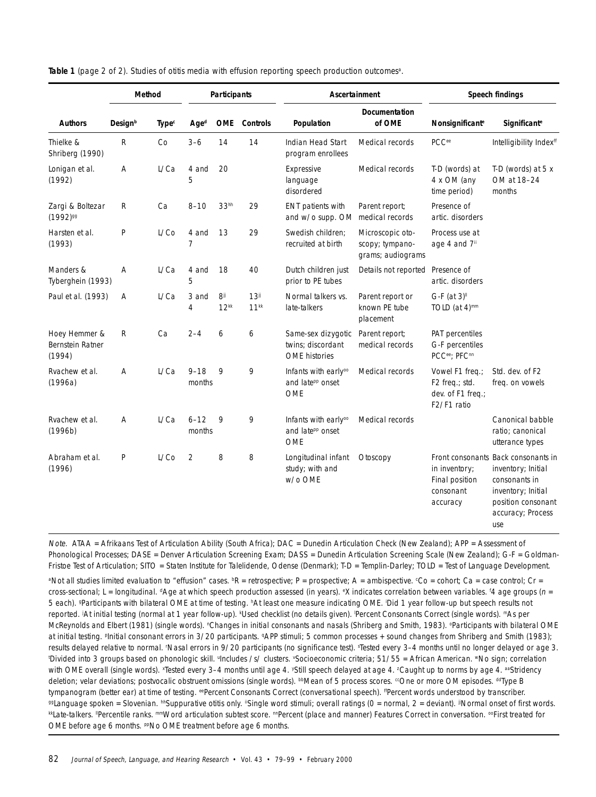|  |  |  |  |  |  | Table 1 (page 2 of 2). Studies of otitis media with effusion reporting speech production outcomes <sup>a</sup> . |  |
|--|--|--|--|--|--|------------------------------------------------------------------------------------------------------------------|--|
|--|--|--|--|--|--|------------------------------------------------------------------------------------------------------------------|--|

|                                             |                     | Method                   | Participants       |                         |                        |                                                                                | Ascertainment                                            | Speech findings                                                       |                                                                                                                                                    |  |
|---------------------------------------------|---------------------|--------------------------|--------------------|-------------------------|------------------------|--------------------------------------------------------------------------------|----------------------------------------------------------|-----------------------------------------------------------------------|----------------------------------------------------------------------------------------------------------------------------------------------------|--|
| <b>Authors</b>                              | Design <sup>b</sup> | <b>Type</b> <sup>c</sup> | Age <sup>d</sup>   | <b>OME</b>              | Controls               | Population                                                                     | <b>Documentation</b><br>of OME                           | Nonsignificant <sup>e</sup>                                           | Significant <sup>e</sup>                                                                                                                           |  |
| Thielke &<br>Shriberg (1990)                | R                   | Co                       | $3 - 6$            | 14                      | 14                     | Indian Head Start<br>program enrollees                                         | Medical records                                          | <b>PCCee</b>                                                          | Intelligibility Index <sup>ff</sup>                                                                                                                |  |
| Lonigan et al.<br>(1992)                    | Α                   | L/Ca                     | 4 and<br>5         | 20                      |                        | Expressive<br>language<br>disordered                                           | Medical records                                          | T-D (words) at<br>4 x OM (any<br>time period)                         | T-D (words) at 5 x<br>OM at 18-24<br>months                                                                                                        |  |
| Zargi & Boltezar<br>(1992)99                | R                   | Ca                       | $8 - 10$           | 33 <sup>hh</sup>        | 29                     | <b>ENT</b> patients with<br>and w/o supp. OM                                   | Parent report;<br>medical records                        | Presence of<br>artic. disorders                                       |                                                                                                                                                    |  |
| Harsten et al.<br>(1993)                    | P                   | L/C <sub>O</sub>         | 4 and<br>7         | 13                      | 29                     | Swedish children;<br>recruited at birth                                        | Microscopic oto-<br>scopy; tympano-<br>grams; audiograms | Process use at<br>age 4 and 7 <sup>ii</sup>                           |                                                                                                                                                    |  |
| Manders &<br>Tyberghein (1993)              | Α                   | L/Ca                     | 4 and<br>5         | 18                      | 40                     | Dutch children just<br>prior to PE tubes                                       | Details not reported                                     | Presence of<br>artic. disorders                                       |                                                                                                                                                    |  |
| Paul et al. (1993)                          | A                   | L/Ca                     | 3 and<br>4         | 8jj<br>12 <sup>kk</sup> | 13<br>11 <sup>kk</sup> | Normal talkers vs.<br>late-talkers                                             | Parent report or<br>known PE tube<br>placement           | $G-F$ (at $3$ ) <sup>"</sup><br>TOLD (at $4$ ) <sup>mm</sup>          |                                                                                                                                                    |  |
| Hoey Hemmer &<br>Bernstein Ratner<br>(1994) | R                   | Ca                       | $2 - 4$            | 6                       | 6                      | Same-sex dizygotic<br>twins: discordant<br>OME histories                       | Parent report;<br>medical records                        | PAT percentiles<br>G-F percentiles<br>PCCee; PFCnn                    |                                                                                                                                                    |  |
| Ryachew et al.<br>(1996a)                   | A                   | L/Ca                     | $9 - 18$<br>months | 9                       | 9                      | Infants with early <sup>oo</sup><br>and late <sup>pp</sup> onset<br><b>OME</b> | Medical records                                          | Vowel F1 freq.;<br>F2 freq.; std.<br>dev. of F1 freq.;<br>F2/F1 ratio | Std. dev. of F2<br>freq. on vowels                                                                                                                 |  |
| Rvachew et al.<br>(1996b)                   | Α                   | L/Ca                     | $6 - 12$<br>months | 9                       | 9                      | Infants with early <sup>oo</sup><br>and late <sup>pp</sup> onset<br><b>OME</b> | Medical records                                          |                                                                       | Canonical babble<br>ratio; canonical<br>utterance types                                                                                            |  |
| Abraham et al.<br>(1996)                    | P                   | L/Co                     | $\overline{2}$     | 8                       | 8                      | Longitudinal infant<br>study; with and<br>w/o OME                              | Otoscopy                                                 | in inventory;<br>Final position<br>consonant<br>accuracy              | Front consonants Back consonants in<br>inventory; Initial<br>consonants in<br>inventory; Initial<br>position consonant<br>accuracy; Process<br>use |  |

Note. ATAA = Afrikaans Test of Articulation Ability (South Africa); DAC = Dunedin Articulation Check (New Zealand); APP = Assessment of Phonological Processes; DASE = Denver Articulation Screening Exam; DASS = Dunedin Articulation Screening Scale (New Zealand); G-F = Goldman-Fristoe Test of Articulation; SITO = Staten Institute for Talelidende, Odense (Denmark); T-D = Templin-Darley; TOLD = Test of Language Development.

<sup>a</sup>Not all studies limited evaluation to "effusion" cases. <sup>b</sup>R = retrospective; P = prospective; A = ambispective. °Co = cohort; Ca = case control; Cr = cross-sectional; L = longitudinal. <sup>a</sup>Age at which speech production assessed (in years). <sup>e</sup>X indicates correlation between variables. <sup>r</sup>4 age groups (n = 5 each). ®articipants with bilateral OME at time of testing. ʰAt least one measure indicating OME. ˈDid 1 year follow-up but speech results not reported. <sup>¡</sup>At initial testing (normal at 1 year follow-up). <sup>k</sup>Used checklist (no details given). 'Percent Consonants Correct (single words). ™As per McReynolds and Elbert (1981) (single words). "Changes in initial consonants and nasals (Shriberg and Smith, 1983). "Participants with bilateral OME at initial testing. <sup>p</sup>lnitial consonant errors in 3/20 participants. <sup>q</sup>APP stimuli; 5 common processes + sound changes from Shriberg and Smith (1983); results delayed relative to normal. 'Nasal errors in 9/20 participants (no significance test). <sup>s</sup>Tested every 3–4 months until no longer delayed or age 3. 'Divided into 3 groups based on phonologic skill. "Includes /s/ clusters. "Socioeconomic criteria; 51/55 = African American. "No sign; correlation with OME overall (single words). <sup>x</sup>īested every 3–4 months until age 4. <sup>y</sup>Still speech delayed at age 4. <sup>z</sup>Caught up to norms by age 4. <sup>aa</sup>Stridency deletion; velar deviations; postvocalic obstruent omissions (single words). bbMean of 5 process scores. "One or more OM episodes. ddType B tympanogram (better ear) at time of testing. <sup>ee</sup>Percent Consonants Correct (conversational speech). <sup>ff</sup>Percent words understood by transcriber. 99Language spoken = Slovenian. hhSuppurative otitis only. "Single word stimuli; overall ratings (0 = normal, 2 = deviant). "Normal onset of first words. kkLate-talkers. "Percentile ranks. mmWord articulation subtest score. mPercent (place and manner) Features Correct in conversation. <sup>oo</sup>First treated for OME before age 6 months. PPNo OME treatment before age 6 months.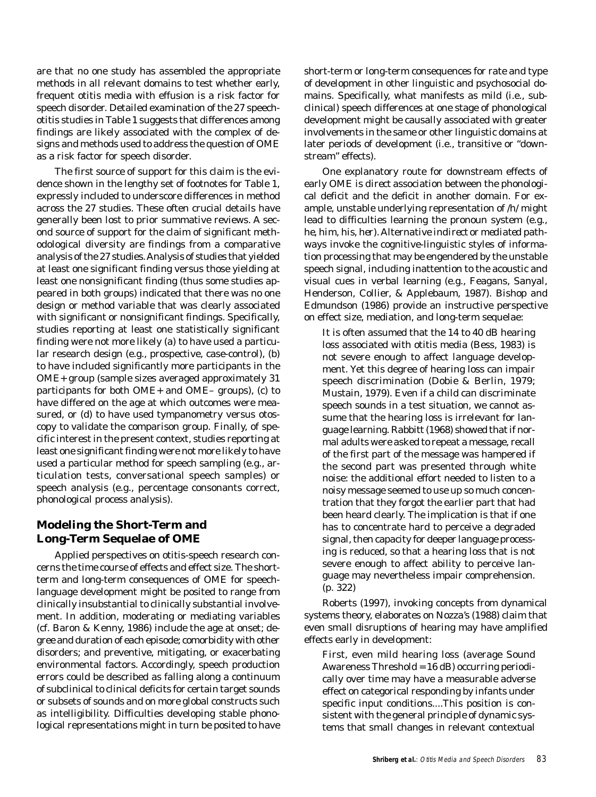are that no one study has assembled the appropriate methods in all relevant domains to test whether early, frequent otitis media with effusion is a risk factor for speech disorder. Detailed examination of the 27 speechotitis studies in Table 1 suggests that differences among findings are likely associated with the complex of designs and methods used to address the question of OME as a risk factor for speech disorder.

The first source of support for this claim is the evidence shown in the lengthy set of footnotes for Table 1, expressly included to underscore differences in method across the 27 studies. These often crucial details have generally been lost to prior summative reviews. A second source of support for the claim of significant methodological diversity are findings from a comparative analysis of the 27 studies. Analysis of studies that yielded at least one significant finding versus those yielding at least one nonsignificant finding (thus some studies appeared in both groups) indicated that there was no one design or method variable that was clearly associated with significant or nonsignificant findings. Specifically, studies reporting at least one statistically significant finding were not more likely (a) to have used a particular research design (e.g., prospective, case-control), (b) to have included significantly more participants in the OME+ group (sample sizes averaged approximately 31 participants for both OME+ and OME– groups), (c) to have differed on the age at which outcomes were measured, or (d) to have used tympanometry versus otoscopy to validate the comparison group. Finally, of specific interest in the present context, studies reporting at least one significant finding were not more likely to have used a particular method for speech sampling (e.g., articulation tests, conversational speech samples) or speech analysis (e.g., percentage consonants correct, phonological process analysis).

### **Modeling the Short-Term and Long-Term Sequelae of OME**

Applied perspectives on otitis-speech research concerns the time course of effects and effect size. The shortterm and long-term consequences of OME for speechlanguage development might be posited to range from clinically insubstantial to clinically substantial involvement. In addition, moderating or mediating variables (cf. Baron & Kenny, 1986) include the age at onset; degree and duration of each episode; comorbidity with other disorders; and preventive, mitigating, or exacerbating environmental factors. Accordingly, speech production errors could be described as falling along a continuum of subclinical to clinical deficits for certain target sounds or subsets of sounds and on more global constructs such as intelligibility. Difficulties developing stable phonological representations might in turn be posited to have

short-term or long-term consequences for rate and type of development in other linguistic and psychosocial domains. Specifically, what manifests as mild (i.e., subclinical) speech differences at one stage of phonological development might be causally associated with greater involvements in the same or other linguistic domains at later periods of development (i.e., transitive or "downstream" effects).

One explanatory route for downstream effects of early OME is *direct* association between the phonological deficit and the deficit in another domain. For example, unstable underlying representation of /h/ might lead to difficulties learning the pronoun system (e.g., *he*, *him*, *his*, *her*). Alternative *indirect* or *mediated* pathways invoke the cognitive-linguistic styles of information processing that may be engendered by the unstable speech signal, including inattention to the acoustic and visual cues in verbal learning (e.g., Feagans, Sanyal, Henderson, Collier, & Applebaum, 1987). Bishop and Edmundson (1986) provide an instructive perspective on effect size, mediation, and long-term sequelae:

It is often assumed that the 14 to 40 dB hearing loss associated with otitis media (Bess, 1983) is not severe enough to affect language development. Yet this degree of hearing loss can impair speech discrimination (Dobie & Berlin, 1979; Mustain, 1979). Even if a child can discriminate speech sounds in a test situation, we cannot assume that the hearing loss is irrelevant for language learning. Rabbitt (1968) showed that if normal adults were asked to repeat a message, recall of the first part of the message was hampered if the second part was presented through white noise: the additional effort needed to listen to a noisy message seemed to use up so much concentration that they forgot the earlier part that had been heard clearly. The implication is that if one has to concentrate hard to perceive a degraded signal, then capacity for deeper language processing is reduced, so that a hearing loss that is not severe enough to affect ability to perceive language may nevertheless impair comprehension. (p. 322)

Roberts (1997), invoking concepts from dynamical systems theory, elaborates on Nozza's (1988) claim that even small disruptions of hearing may have amplified effects early in development:

First, even mild hearing loss (average Sound Awareness Threshold = 16 dB) occurring periodically over time may have a measurable adverse effect on categorical responding by infants under specific input conditions....This position is consistent with the general principle of dynamic systems that small changes in relevant contextual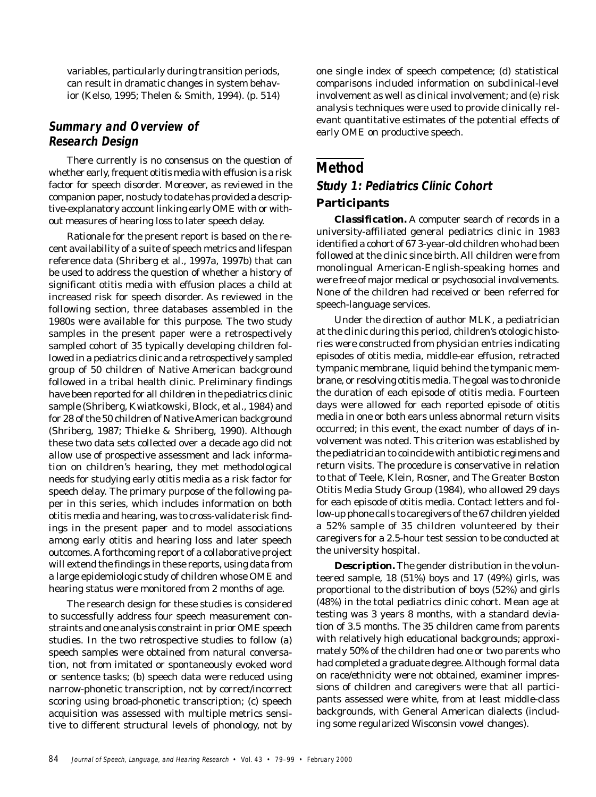variables, particularly during transition periods, can result in dramatic changes in system behavior (Kelso, 1995; Thelen & Smith, 1994). (p. 514)

# **Summary and Overview of Research Design**

There currently is no consensus on the question of whether early, frequent otitis media with effusion is a risk factor for speech disorder. Moreover, as reviewed in the companion paper, no study to date has provided a descriptive-explanatory account linking early OME with or without measures of hearing loss to later speech delay.

Rationale for the present report is based on the recent availability of a suite of speech metrics and lifespan reference data (Shriberg et al., 1997a, 1997b) that can be used to address the question of whether a history of significant otitis media with effusion places a child at increased risk for speech disorder. As reviewed in the following section, three databases assembled in the 1980s were available for this purpose. The two study samples in the present paper were a retrospectively sampled cohort of 35 typically developing children followed in a pediatrics clinic and a retrospectively sampled group of 50 children of Native American background followed in a tribal health clinic. Preliminary findings have been reported for all children in the pediatrics clinic sample (Shriberg, Kwiatkowski, Block, et al., 1984) and for 28 of the 50 children of Native American background (Shriberg, 1987; Thielke & Shriberg, 1990). Although these two data sets collected over a decade ago did not allow use of prospective assessment and lack information on children's hearing, they met methodological needs for studying early otitis media as a risk factor for speech delay. The primary purpose of the following paper in this series, which includes information on both otitis media and hearing, was to cross-validate risk findings in the present paper and to model associations among early otitis and hearing loss and later speech outcomes. A forthcoming report of a collaborative project will extend the findings in these reports, using data from a large epidemiologic study of children whose OME and hearing status were monitored from 2 months of age.

The research design for these studies is considered to successfully address four speech measurement constraints and one analysis constraint in prior OME speech studies. In the two retrospective studies to follow (a) speech samples were obtained from natural conversation, not from imitated or spontaneously evoked word or sentence tasks; (b) speech data were reduced using narrow-phonetic transcription, not by correct/incorrect scoring using broad-phonetic transcription; (c) speech acquisition was assessed with multiple metrics sensitive to different structural levels of phonology, not by one single index of speech competence; (d) statistical comparisons included information on subclinical-level involvement as well as clinical involvement; and (e) risk analysis techniques were used to provide clinically relevant quantitative estimates of the potential effects of early OME on productive speech.

# **Method Study 1: Pediatrics Clinic Cohort Participants**

*Classification.* A computer search of records in a university-affiliated general pediatrics clinic in 1983 identified a cohort of 67 3-year-old children who had been followed at the clinic since birth. All children were from monolingual American-English-speaking homes and were free of major medical or psychosocial involvements. None of the children had received or been referred for speech-language services.

Under the direction of author MLK, a pediatrician at the clinic during this period, children's otologic histories were constructed from physician entries indicating episodes of otitis media, middle-ear effusion, retracted tympanic membrane, liquid behind the tympanic membrane, or resolving otitis media. The goal was to chronicle the duration of each episode of otitis media. Fourteen days were allowed for each reported episode of otitis media in one or both ears unless abnormal return visits occurred; in this event, the exact number of days of involvement was noted. This criterion was established by the pediatrician to coincide with antibiotic regimens and return visits. The procedure is conservative in relation to that of Teele, Klein, Rosner, and The Greater Boston Otitis Media Study Group (1984), who allowed 29 days for each episode of otitis media. Contact letters and follow-up phone calls to caregivers of the 67 children yielded a 52% sample of 35 children volunteered by their caregivers for a 2.5-hour test session to be conducted at the university hospital.

*Description.* The gender distribution in the volunteered sample, 18 (51%) boys and 17 (49%) girls, was proportional to the distribution of boys (52%) and girls (48%) in the total pediatrics clinic cohort. Mean age at testing was 3 years 8 months, with a standard deviation of 3.5 months. The 35 children came from parents with relatively high educational backgrounds; approximately 50% of the children had one or two parents who had completed a graduate degree. Although formal data on race/ethnicity were not obtained, examiner impressions of children and caregivers were that all participants assessed were white, from at least middle-class backgrounds, with General American dialects (including some regularized Wisconsin vowel changes).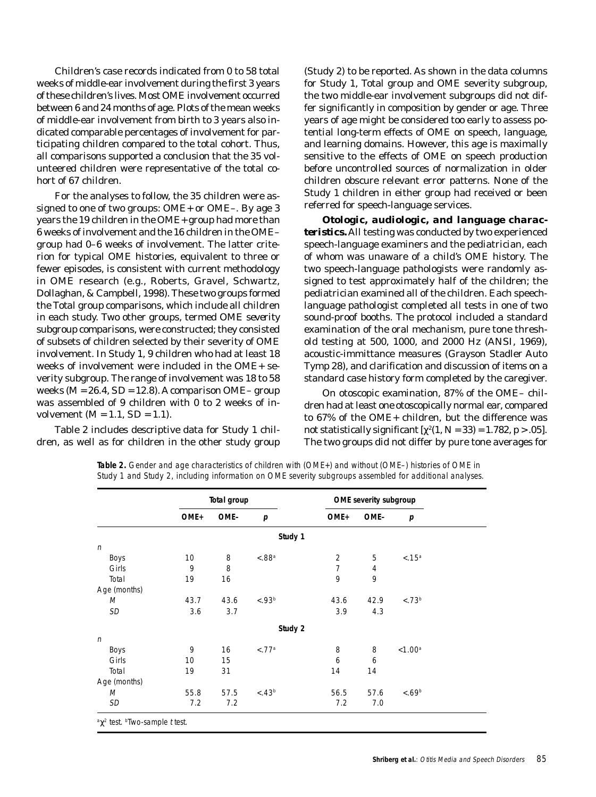Children's case records indicated from 0 to 58 total weeks of middle-ear involvement during the first 3 years of these children's lives. Most OME involvement occurred between 6 and 24 months of age. Plots of the mean weeks of middle-ear involvement from birth to 3 years also indicated comparable percentages of involvement for participating children compared to the total cohort. Thus, all comparisons supported a conclusion that the 35 volunteered children were representative of the total cohort of 67 children.

For the analyses to follow, the 35 children were assigned to one of two groups: OME+ or OME–. By age 3 years the 19 children in the OME+ group had more than 6 weeks of involvement and the 16 children in the OME– group had 0–6 weeks of involvement. The latter criterion for typical OME histories, equivalent to three or fewer episodes, is consistent with current methodology in OME research (e.g., Roberts, Gravel, Schwartz, Dollaghan, & Campbell, 1998). These two groups formed the *Total group* comparisons, which include all children in each study. Two other groups, termed *OME severity subgroup* comparisons, were constructed; they consisted of subsets of children selected by their severity of OME involvement. In Study 1, 9 children who had at least 18 weeks of involvement were included in the OME+ severity subgroup. The range of involvement was 18 to 58 weeks  $(M = 26.4, SD = 12.8)$ . A comparison OME– group was assembled of 9 children with 0 to 2 weeks of involvement (*M* = 1.1, *SD* = 1.1).

Table 2 includes descriptive data for Study 1 children, as well as for children in the other study group (Study 2) to be reported. As shown in the data columns for Study 1, Total group and OME severity subgroup, the two middle-ear involvement subgroups did not differ significantly in composition by gender or age. Three years of age might be considered too early to assess potential long-term effects of OME on speech, language, and learning domains. However, this age is maximally sensitive to the effects of OME on speech production before uncontrolled sources of normalization in older children obscure relevant error patterns. None of the Study 1 children in either group had received or been referred for speech-language services.

*Otologic, audiologic, and language characteristics.* All testing was conducted by two experienced speech-language examiners and the pediatrician, each of whom was unaware of a child's OME history. The two speech-language pathologists were randomly assigned to test approximately half of the children; the pediatrician examined all of the children. Each speechlanguage pathologist completed all tests in one of two sound-proof booths. The protocol included a standard examination of the oral mechanism, pure tone threshold testing at 500, 1000, and 2000 Hz (ANSI, 1969), acoustic-immittance measures (Grayson Stadler Auto Tymp 28), and clarification and discussion of items on a standard case history form completed by the caregiver.

On otoscopic examination, 87% of the OME– children had at least one otoscopically normal ear, compared to 67% of the OME+ children, but the difference was not statistically significant  $[\chi^2(1, N=33) = 1.782, p > .05]$ . The two groups did not differ by pure tone averages for

**Table 2.** Gender and age characteristics of children with (OME+) and without (OME–) histories of OME in Study 1 and Study 2, including information on OME severity subgroups assembled for additional analyses.

|              |      | Total group |                    |                | OME severity subgroup |                    |  |  |  |
|--------------|------|-------------|--------------------|----------------|-----------------------|--------------------|--|--|--|
|              | OME+ | OME-        | p                  | OME+           | OME-                  | p                  |  |  |  |
|              |      |             | Study 1            |                |                       |                    |  |  |  |
| $\mathsf{n}$ |      |             |                    |                |                       |                    |  |  |  |
| Boys         | 10   | 8           | < 88 <sup>a</sup>  | $\overline{2}$ | 5                     | $< 15^a$           |  |  |  |
| Girls        | 9    | 8           |                    | 7              | $\overline{4}$        |                    |  |  |  |
| Total        | 19   | 16          |                    | 9              | 9                     |                    |  |  |  |
| Age (months) |      |             |                    |                |                       |                    |  |  |  |
| М            | 43.7 | 43.6        | < 93 <sup>b</sup>  | 43.6           | 42.9                  | < 73 <sup>b</sup>  |  |  |  |
| SD           | 3.6  | 3.7         |                    | 3.9            | 4.3                   |                    |  |  |  |
|              |      |             | Study 2            |                |                       |                    |  |  |  |
| $\mathsf{n}$ |      |             |                    |                |                       |                    |  |  |  |
| Boys         | 9    | 16          | $< 77^a$           | 8              | 8                     | $< 1.00^a$         |  |  |  |
| Girls        | 10   | 15          |                    | 6              | 6                     |                    |  |  |  |
| Total        | 19   | 31          |                    | 14             | 14                    |                    |  |  |  |
| Age (months) |      |             |                    |                |                       |                    |  |  |  |
| М            | 55.8 | 57.5        | < .43 <sup>b</sup> | 56.5           | 57.6                  | < .69 <sup>b</sup> |  |  |  |
| SD           | 7.2  | 7.2         |                    | 7.2            | 7.0                   |                    |  |  |  |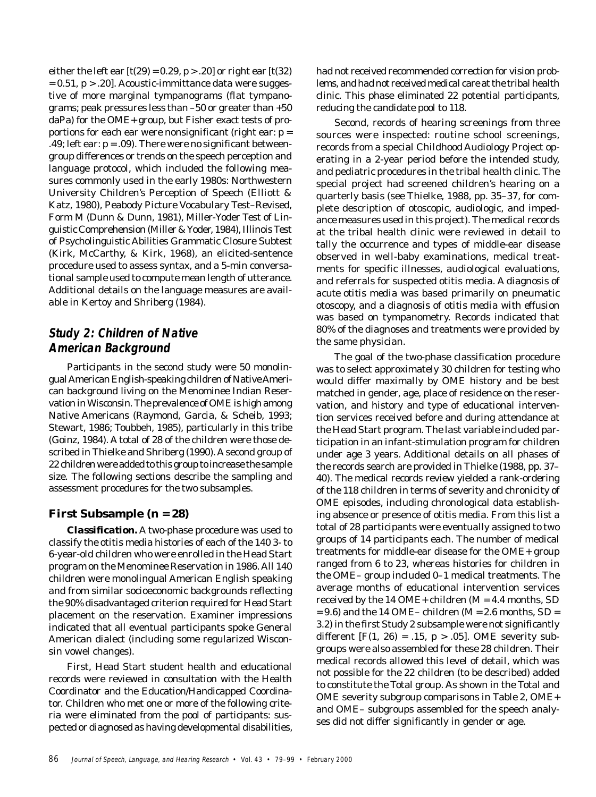either the left ear [*t*(29) = 0.29, *p* > .20] or right ear [*t*(32)  $= 0.51, p > .20$ . Acoustic-immittance data were suggestive of more marginal tympanograms (flat tympanograms; peak pressures less than –50 or greater than +50 daPa) for the OME+ group, but Fisher exact tests of proportions for each ear were nonsignificant (right ear: *p* = .49; left ear:  $p = .09$ ). There were no significant betweengroup differences or trends on the speech perception and language protocol, which included the following measures commonly used in the early 1980s: Northwestern University Children's Perception of Speech (Elliott & Katz, 1980), Peabody Picture Vocabulary Test–Revised, Form M (Dunn & Dunn, 1981), Miller-Yoder Test of Linguistic Comprehension (Miller & Yoder, 1984), Illinois Test of Psycholinguistic Abilities Grammatic Closure Subtest (Kirk, McCarthy, & Kirk, 1968), an elicited-sentence procedure used to assess syntax, and a 5-min conversational sample used to compute mean length of utterance. Additional details on the language measures are available in Kertoy and Shriberg (1984).

# **Study 2: Children of Native American Background**

Participants in the second study were 50 monolingual American English-speaking children of Native American background living on the Menominee Indian Reservation in Wisconsin. The prevalence of OME is high among Native Americans (Raymond, Garcia, & Scheib, 1993; Stewart, 1986; Toubbeh, 1985), particularly in this tribe (Goinz, 1984). A total of 28 of the children were those described in Thielke and Shriberg (1990). A second group of 22 children were added to this group to increase the sample size. The following sections describe the sampling and assessment procedures for the two subsamples.

## **First Subsample (***n* **= 28)**

*Classification.* A two-phase procedure was used to classify the otitis media histories of each of the 140 3- to 6-year-old children who were enrolled in the Head Start program on the Menominee Reservation in 1986. All 140 children were monolingual American English speaking and from similar socioeconomic backgrounds reflecting the 90% disadvantaged criterion required for Head Start placement on the reservation. Examiner impressions indicated that all eventual participants spoke General American dialect (including some regularized Wisconsin vowel changes).

First, Head Start student health and educational records were reviewed in consultation with the Health Coordinator and the Education/Handicapped Coordinator. Children who met one or more of the following criteria were eliminated from the pool of participants: suspected or diagnosed as having developmental disabilities,

had not received recommended correction for vision problems, and had not received medical care at the tribal health clinic. This phase eliminated 22 potential participants, reducing the candidate pool to 118.

Second, records of hearing screenings from three sources were inspected: routine school screenings, records from a special Childhood Audiology Project operating in a 2-year period before the intended study, and pediatric procedures in the tribal health clinic. The special project had screened children's hearing on a quarterly basis (see Thielke, 1988, pp. 35–37, for complete description of otoscopic, audiologic, and impedance measures used in this project). The medical records at the tribal health clinic were reviewed in detail to tally the occurrence and types of middle-ear disease observed in well-baby examinations, medical treatments for specific illnesses, audiological evaluations, and referrals for suspected otitis media. A diagnosis of *acute otitis media* was based primarily on pneumatic otoscopy, and a diagnosis of *otitis media with effusion* was based on tympanometry. Records indicated that 80% of the diagnoses and treatments were provided by the same physician.

The goal of the two-phase classification procedure was to select approximately 30 children for testing who would differ maximally by OME history and be best matched in gender, age, place of residence on the reservation, and history and type of educational intervention services received before and during attendance at the Head Start program. The last variable included participation in an infant-stimulation program for children under age 3 years. Additional details on all phases of the records search are provided in Thielke (1988, pp. 37– 40). The medical records review yielded a rank-ordering of the 118 children in terms of severity and chronicity of OME episodes, including chronological data establishing absence or presence of otitis media. From this list a total of 28 participants were eventually assigned to two groups of 14 participants each. The number of medical treatments for middle-ear disease for the OME+ group ranged from 6 to 23, whereas histories for children in the OME– group included 0–1 medical treatments. The average months of educational intervention services received by the 14 OME+ children (*M* = 4.4 months, *SD*  $= 9.6$ ) and the 14 OME– children ( $M = 2.6$  months,  $SD =$ 3.2) in the first Study 2 subsample were not significantly different  $[F(1, 26) = .15, p > .05]$ . OME severity subgroups were also assembled for these 28 children. Their medical records allowed this level of detail, which was not possible for the 22 children (to be described) added to constitute the Total group. As shown in the Total and OME severity subgroup comparisons in Table 2, OME+ and OME– subgroups assembled for the speech analyses did not differ significantly in gender or age.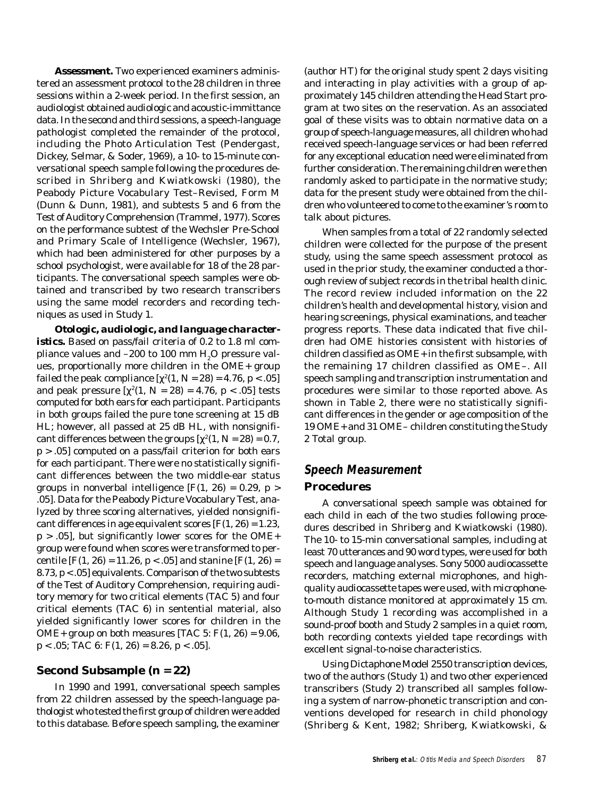*Assessment.* Two experienced examiners administered an assessment protocol to the 28 children in three sessions within a 2-week period. In the first session, an audiologist obtained audiologic and acoustic-immittance data. In the second and third sessions, a speech-language pathologist completed the remainder of the protocol, including the Photo Articulation Test (Pendergast, Dickey, Selmar, & Soder, 1969), a 10- to 15-minute conversational speech sample following the procedures described in Shriberg and Kwiatkowski (1980), the Peabody Picture Vocabulary Test–Revised, Form M (Dunn & Dunn, 1981), and subtests 5 and 6 from the Test of Auditory Comprehension (Trammel, 1977). Scores on the performance subtest of the Wechsler Pre-School and Primary Scale of Intelligence (Wechsler, 1967), which had been administered for other purposes by a school psychologist, were available for 18 of the 28 participants. The conversational speech samples were obtained and transcribed by two research transcribers using the same model recorders and recording techniques as used in Study 1.

*Otologic, audiologic, and language characteristics.* Based on pass/fail criteria of 0.2 to 1.8 ml compliance values and –200 to 100 mm  $\rm H_{2}O$  pressure values, proportionally more children in the OME+ group failed the peak compliance  $[\chi^2(1, N = 28) = 4.76, p < .05]$ and peak pressure  $[\chi^2(1, N = 28) = 4.76, p < .05]$  tests computed for both ears for each participant. Participants in both groups failed the pure tone screening at 15 dB HL; however, all passed at 25 dB HL, with nonsignificant differences between the groups  $[\chi^2(1, N = 28) = 0.7]$ , *p* > .05] computed on a pass/fail criterion for both ears for each participant. There were no statistically significant differences between the two middle-ear status groups in nonverbal intelligence  $[F(1, 26) = 0.29, p >$ .05]. Data for the Peabody Picture Vocabulary Test, analyzed by three scoring alternatives, yielded nonsignificant differences in age equivalent scores  $[F(1, 26) = 1.23]$ ,  $p > .05$ ], but significantly lower scores for the OME+ group were found when scores were transformed to percentile  $[F(1, 26) = 11.26, p < .05]$  and stanine  $[F(1, 26) =$ 8.73, *p* < .05] equivalents. Comparison of the two subtests of the Test of Auditory Comprehension, requiring auditory memory for two critical elements (TAC 5) and four critical elements (TAC 6) in sentential material, also yielded significantly lower scores for children in the OME+ group on both measures [TAC 5:  $F(1, 26) = 9.06$ , *p* < .05; TAC 6: *F*(1, 26) = 8.26, *p* < .05].

#### **Second Subsample (***n* **= 22)**

In 1990 and 1991, conversational speech samples from 22 children assessed by the speech-language pathologist who tested the first group of children were added to this database. Before speech sampling, the examiner (author HT) for the original study spent 2 days visiting and interacting in play activities with a group of approximately 145 children attending the Head Start program at two sites on the reservation. As an associated goal of these visits was to obtain normative data on a group of speech-language measures, all children who had received speech-language services or had been referred for any exceptional education need were eliminated from further consideration. The remaining children were then randomly asked to participate in the normative study; data for the present study were obtained from the children who volunteered to come to the examiner's room to talk about pictures.

When samples from a total of 22 randomly selected children were collected for the purpose of the present study, using the same speech assessment protocol as used in the prior study, the examiner conducted a thorough review of subject records in the tribal health clinic. The record review included information on the 22 children's health and developmental history, vision and hearing screenings, physical examinations, and teacher progress reports. These data indicated that five children had OME histories consistent with histories of children classified as OME+ in the first subsample, with the remaining 17 children classified as OME–. All speech sampling and transcription instrumentation and procedures were similar to those reported above. As shown in Table 2, there were no statistically significant differences in the gender or age composition of the 19 OME+ and 31 OME– children constituting the Study 2 Total group.

# **Speech Measurement Procedures**

A conversational speech sample was obtained for each child in each of the two studies following procedures described in Shriberg and Kwiatkowski (1980). The 10- to 15-min conversational samples, including at least 70 utterances and 90 word types, were used for both speech and language analyses. Sony 5000 audiocassette recorders, matching external microphones, and highquality audiocassette tapes were used, with microphoneto-mouth distance monitored at approximately 15 cm. Although Study 1 recording was accomplished in a sound-proof booth and Study 2 samples in a quiet room, both recording contexts yielded tape recordings with excellent signal-to-noise characteristics.

Using Dictaphone Model 2550 transcription devices, two of the authors (Study 1) and two other experienced transcribers (Study 2) transcribed all samples following a system of narrow-phonetic transcription and conventions developed for research in child phonology (Shriberg & Kent, 1982; Shriberg, Kwiatkowski, &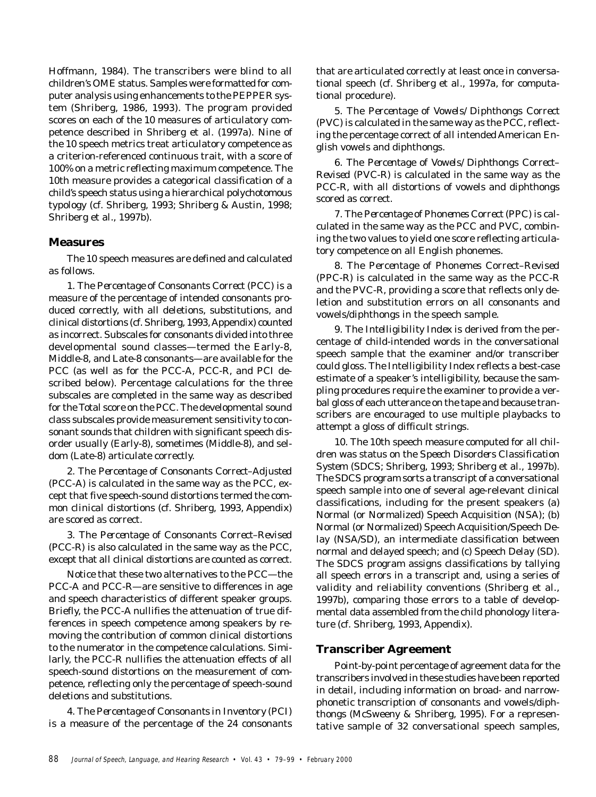Hoffmann, 1984). The transcribers were blind to all children's OME status. Samples were formatted for computer analysis using enhancements to the PEPPER system (Shriberg, 1986, 1993). The program provided scores on each of the 10 measures of articulatory competence described in Shriberg et al. (1997a). Nine of the 10 speech metrics treat articulatory competence as a criterion-referenced continuous trait, with a score of 100% on a metric reflecting maximum competence. The 10th measure provides a categorical classification of a child's speech status using a hierarchical polychotomous typology (cf. Shriberg, 1993; Shriberg & Austin, 1998; Shriberg et al., 1997b).

#### **Measures**

The 10 speech measures are defined and calculated as follows.

1. The *Percentage of Consonants Correct* (PCC) is a measure of the percentage of intended consonants produced correctly, with all deletions, substitutions, and clinical distortions (cf. Shriberg, 1993, Appendix) counted as incorrect. Subscales for consonants divided into three developmental sound classes—termed the Early-8, Middle-8, and Late-8 consonants—are available for the PCC (as well as for the PCC-A, PCC-R, and PCI described below). Percentage calculations for the three subscales are completed in the same way as described for the Total score on the PCC. The developmental sound class subscales provide measurement sensitivity to consonant sounds that children with significant speech disorder usually (Early-8), sometimes (Middle-8), and seldom (Late-8) articulate correctly.

2. The *Percentage of Consonants Correct–Adjusted* (PCC-A) is calculated in the same way as the PCC, except that five speech-sound distortions termed the *common clinical distortions* (cf. Shriberg, 1993, Appendix) are scored as correct.

3. The *Percentage of Consonants Correct–Revised* (PCC-R) is also calculated in the same way as the PCC, except that *all* clinical distortions are counted as correct.

Notice that these two alternatives to the PCC—the PCC-A and PCC-R—are sensitive to differences in age and speech characteristics of different speaker groups. Briefly, the PCC-A nullifies the attenuation of true differences in speech competence among speakers by removing the contribution of common clinical distortions to the numerator in the competence calculations. Similarly, the PCC-R nullifies the attenuation effects of all speech-sound distortions on the measurement of competence, reflecting only the percentage of speech-sound deletions and substitutions.

4. The *Percentage of Consonants in Inventory* (PCI) is a measure of the percentage of the 24 consonants that are articulated correctly at least once in conversational speech (cf. Shriberg et al., 1997a, for computational procedure).

5. The *Percentage of Vowels/Diphthongs Correct* (PVC) is calculated in the same way as the PCC, reflecting the percentage correct of all intended American English vowels and diphthongs.

6. The *Percentage of Vowels/Diphthongs Correct– Revised* (PVC-R) is calculated in the same way as the PCC-R, with all distortions of vowels and diphthongs scored as correct.

7. The *Percentage of Phonemes Correct* (PPC) is calculated in the same way as the PCC and PVC, combining the two values to yield one score reflecting articulatory competence on all English phonemes.

8. The *Percentage of Phonemes Correct–Revised* (PPC-R) is calculated in the same way as the PCC-R and the PVC-R, providing a score that reflects only deletion and substitution errors on all consonants and vowels/diphthongs in the speech sample.

9. The *Intelligibility Index* is derived from the percentage of child-intended words in the conversational speech sample that the examiner and/or transcriber could gloss. The Intelligibility Index reflects a best-case estimate of a speaker's intelligibility, because the sampling procedures require the examiner to provide a verbal gloss of each utterance on the tape and because transcribers are encouraged to use multiple playbacks to attempt a gloss of difficult strings.

10. The 10th speech measure computed for all children was status on the *Speech Disorders Classification System* (SDCS; Shriberg, 1993; Shriberg et al., 1997b). The SDCS program sorts a transcript of a conversational speech sample into one of several age-relevant clinical classifications, including for the present speakers (a) Normal (or Normalized) Speech Acquisition (NSA); (b) Normal (or Normalized) Speech Acquisition/Speech Delay (NSA/SD), an intermediate classification between normal and delayed speech; and (c) Speech Delay (SD). The SDCS program assigns classifications by tallying all speech errors in a transcript and, using a series of validity and reliability conventions (Shriberg et al., 1997b), comparing those errors to a table of developmental data assembled from the child phonology literature (cf. Shriberg, 1993, Appendix).

#### **Transcriber Agreement**

Point-by-point percentage of agreement data for the transcribers involved in these studies have been reported in detail, including information on broad- and narrowphonetic transcription of consonants and vowels/diphthongs (McSweeny & Shriberg, 1995). For a representative sample of 32 conversational speech samples,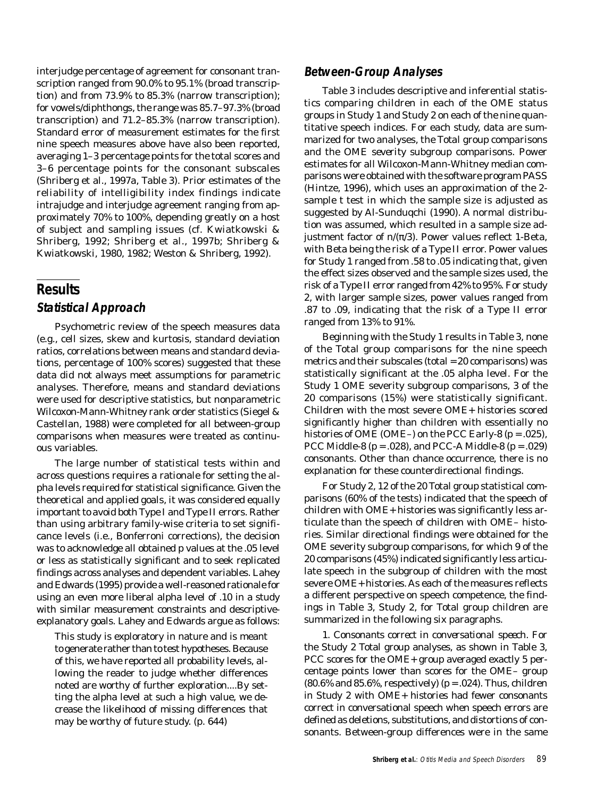interjudge percentage of agreement for consonant transcription ranged from 90.0% to 95.1% (broad transcription) and from 73.9% to 85.3% (narrow transcription); for vowels/diphthongs, the range was 85.7–97.3% (broad transcription) and 71.2–85.3% (narrow transcription). Standard error of measurement estimates for the first nine speech measures above have also been reported, averaging 1–3 percentage points for the total scores and 3–6 percentage points for the consonant subscales (Shriberg et al., 1997a, Table 3). Prior estimates of the reliability of intelligibility index findings indicate intrajudge and interjudge agreement ranging from approximately 70% to 100%, depending greatly on a host of subject and sampling issues (cf. Kwiatkowski & Shriberg, 1992; Shriberg et al., 1997b; Shriberg & Kwiatkowski, 1980, 1982; Weston & Shriberg, 1992).

# **Results**

# **Statistical Approach**

Psychometric review of the speech measures data (e.g., cell sizes, skew and kurtosis, standard deviation ratios, correlations between means and standard deviations, percentage of 100% scores) suggested that these data did not always meet assumptions for parametric analyses. Therefore, means and standard deviations were used for descriptive statistics, but nonparametric Wilcoxon-Mann-Whitney rank order statistics (Siegel & Castellan, 1988) were completed for all between-group comparisons when measures were treated as continuous variables.

The large number of statistical tests within and across questions requires a rationale for setting the alpha levels required for statistical significance. Given the theoretical and applied goals, it was considered equally important to avoid both Type I and Type II errors. Rather than using arbitrary family-wise criteria to set significance levels (i.e., Bonferroni corrections), the decision was to acknowledge all obtained *p* values at the .05 level or less as statistically significant and to seek replicated findings across analyses and dependent variables. Lahey and Edwards (1995) provide a well-reasoned rationale for using an even more liberal alpha level of .10 in a study with similar measurement constraints and descriptiveexplanatory goals. Lahey and Edwards argue as follows:

This study is exploratory in nature and is meant to generate rather than to test hypotheses. Because of this, we have reported all probability levels, allowing the reader to judge whether differences noted are worthy of further exploration....By setting the alpha level at such a high value, we decrease the likelihood of missing differences that may be worthy of future study. (p. 644)

### **Between-Group Analyses**

Table 3 includes descriptive and inferential statistics comparing children in each of the OME status groups in Study 1 and Study 2 on each of the nine quantitative speech indices. For each study, data are summarized for two analyses, the *Total group* comparisons and the *OME severity subgroup* comparisons. Power estimates for all Wilcoxon-Mann-Whitney median comparisons were obtained with the software program PASS (Hintze, 1996), which uses an approximation of the 2 sample *t* test in which the sample size is adjusted as suggested by Al-Sunduqchi (1990). A normal distribution was assumed, which resulted in a sample size adjustment factor of *n*/(π/3). Power values reflect 1-Beta, with Beta being the risk of a Type II error. Power values for Study 1 ranged from .58 to .05 indicating that, given the effect sizes observed and the sample sizes used, the risk of a Type II error ranged from 42% to 95%. For study 2, with larger sample sizes, power values ranged from .87 to .09, indicating that the risk of a Type II error ranged from 13% to 91%.

Beginning with the Study 1 results in Table 3, none of the Total group comparisons for the nine speech metrics and their subscales (total = 20 comparisons) was statistically significant at the .05 alpha level. For the Study 1 OME severity subgroup comparisons, 3 of the 20 comparisons (15%) were statistically significant. Children with the most severe OME+ histories scored significantly higher than children with essentially no histories of OME (OME–) on the PCC Early-8 ( $p = .025$ ), PCC Middle-8 (*p* = .028), and PCC-A Middle-8 (*p* = .029) consonants. Other than chance occurrence, there is no explanation for these counterdirectional findings.

For Study 2, 12 of the 20 Total group statistical comparisons (60% of the tests) indicated that the speech of children with OME+ histories was significantly less articulate than the speech of children with OME– histories. Similar directional findings were obtained for the OME severity subgroup comparisons, for which 9 of the 20 comparisons (45%) indicated significantly less articulate speech in the subgroup of children with the most severe OME+ histories. As each of the measures reflects a different perspective on speech competence, the findings in Table 3, Study 2, for Total group children are summarized in the following six paragraphs.

1. *Consonants correct in conversational speech.* For the Study 2 Total group analyses, as shown in Table 3, PCC scores for the OME+ group averaged exactly 5 percentage points lower than scores for the OME– group (80.6% and 85.6%, respectively) (*p* = .024). Thus, children in Study 2 with OME+ histories had fewer consonants correct in conversational speech when speech errors are defined as deletions, substitutions, and distortions of consonants. Between-group differences were in the same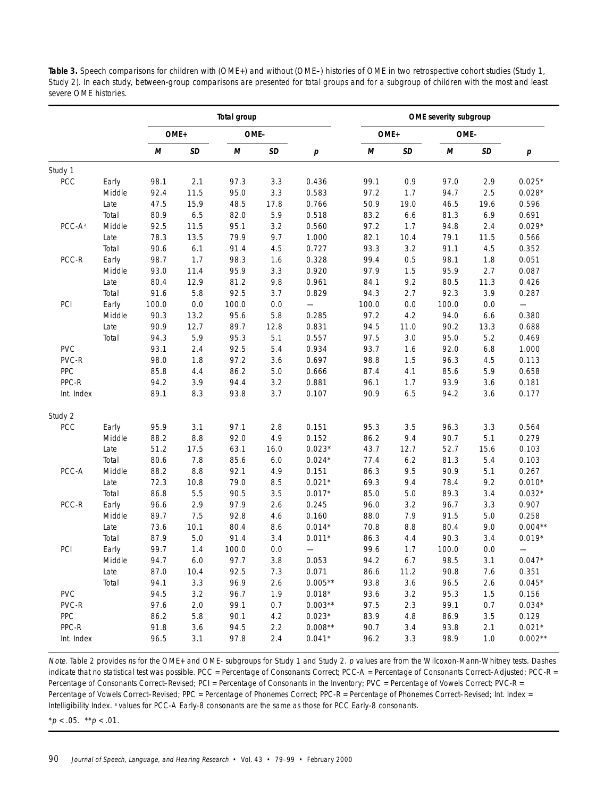**Table 3.** Speech comparisons for children with (OME+) and without (OME–) histories of OME in two retrospective cohort studies (Study 1, Study 2). In each study, between-group comparisons are presented for total groups and for a subgroup of children with the most and least severe OME histories.

|                    |        |       |      | <b>Total group</b> |      |           | OME severity subgroup |      |       |      |           |  |  |
|--------------------|--------|-------|------|--------------------|------|-----------|-----------------------|------|-------|------|-----------|--|--|
|                    |        | OME+  |      |                    | OME- |           | OME+                  |      | OME-  |      | р         |  |  |
|                    |        | М     | SD   | М                  | SD   | p         | М                     | SD   | М     | SD   |           |  |  |
| Study 1            |        |       |      |                    |      |           |                       |      |       |      |           |  |  |
| PCC                | Early  | 98.1  | 2.1  | 97.3               | 3.3  | 0.436     | 99.1                  | 0.9  | 97.0  | 2.9  | $0.025*$  |  |  |
|                    | Middle | 92.4  | 11.5 | 95.0               | 3.3  | 0.583     | 97.2                  | 1.7  | 94.7  | 2.5  | $0.028*$  |  |  |
|                    | Late   | 47.5  | 15.9 | 48.5               | 17.8 | 0.766     | 50.9                  | 19.0 | 46.5  | 19.6 | 0.596     |  |  |
|                    | Total  | 80.9  | 6.5  | 82.0               | 5.9  | 0.518     | 83.2                  | 6.6  | 81.3  | 6.9  | 0.691     |  |  |
| PCC-A <sup>a</sup> | Middle | 92.5  | 11.5 | 95.1               | 3.2  | 0.560     | 97.2                  | 1.7  | 94.8  | 2.4  | $0.029*$  |  |  |
|                    | Late   | 78.3  | 13.5 | 79.9               | 9.7  | 1.000     | 82.1                  | 10.4 | 79.1  | 11.5 | 0.566     |  |  |
|                    | Total  | 90.6  | 6.1  | 91.4               | 4.5  | 0.727     | 93.3                  | 3.2  | 91.1  | 4.5  | 0.352     |  |  |
| PCC-R              | Early  | 98.7  | 1.7  | 98.3               | 1.6  | 0.328     | 99.4                  | 0.5  | 98.1  | 1.8  | 0.051     |  |  |
|                    | Middle | 93.0  | 11.4 | 95.9               | 3.3  | 0.920     | 97.9                  | 1.5  | 95.9  | 2.7  | 0.087     |  |  |
|                    | Late   | 80.4  | 12.9 | 81.2               | 9.8  | 0.961     | 84.1                  | 9.2  | 80.5  | 11.3 | 0.426     |  |  |
|                    | Total  | 91.6  | 5.8  | 92.5               | 3.7  | 0.829     | 94.3                  | 2.7  | 92.3  | 3.9  | 0.287     |  |  |
| PCI                | Early  | 100.0 | 0.0  | 100.0              | 0.0  |           | 100.0                 | 0.0  | 100.0 | 0.0  |           |  |  |
|                    | Middle | 90.3  | 13.2 | 95.6               | 5.8  | 0.285     | 97.2                  | 4.2  | 94.0  | 6.6  | 0.380     |  |  |
|                    | Late   | 90.9  | 12.7 | 89.7               | 12.8 | 0.831     | 94.5                  | 11.0 | 90.2  | 13.3 | 0.688     |  |  |
|                    | Total  | 94.3  | 5.9  | 95.3               | 5.1  | 0.557     | 97.5                  | 3.0  | 95.0  | 5.2  | 0.469     |  |  |
| <b>PVC</b>         |        | 93.1  | 2.4  | 92.5               | 5.4  | 0.934     | 93.7                  | 1.6  | 92.0  | 6.8  | 1.000     |  |  |
| PVC-R              |        | 98.0  | 1.8  | 97.2               | 3.6  | 0.697     | 98.8                  | 1.5  | 96.3  | 4.5  | 0.113     |  |  |
| PPC                |        | 85.8  | 4.4  | 86.2               | 5.0  | 0.666     | 87.4                  | 4.1  | 85.6  | 5.9  | 0.658     |  |  |
| PPC-R              |        | 94.2  | 3.9  | 94.4               | 3.2  | 0.881     | 96.1                  | 1.7  | 93.9  | 3.6  | 0.181     |  |  |
| Int. Index         |        | 89.1  | 8.3  | 93.8               | 3.7  | 0.107     | 90.9                  | 6.5  | 94.2  | 3.6  | 0.177     |  |  |
| Study 2            |        |       |      |                    |      |           |                       |      |       |      |           |  |  |
| <b>PCC</b>         | Early  | 95.9  | 3.1  | 97.1               | 2.8  | 0.151     | 95.3                  | 3.5  | 96.3  | 3.3  | 0.564     |  |  |
|                    | Middle | 88.2  | 8.8  | 92.0               | 4.9  | 0.152     | 86.2                  | 9.4  | 90.7  | 5.1  | 0.279     |  |  |
|                    | Late   | 51.2  | 17.5 | 63.1               | 16.0 | $0.023*$  | 43.7                  | 12.7 | 52.7  | 15.6 | 0.103     |  |  |
|                    | Total  | 80.6  | 7.8  | 85.6               | 6.0  | $0.024*$  | 77.4                  | 6.2  | 81.3  | 5.4  | 0.103     |  |  |
| PCC-A              | Middle | 88.2  | 8.8  | 92.1               | 4.9  | 0.151     | 86.3                  | 9.5  | 90.9  | 5.1  | 0.267     |  |  |
|                    | Late   | 72.3  | 10.8 | 79.0               | 8.5  | $0.021*$  | 69.3                  | 9.4  | 78.4  | 9.2  | $0.010*$  |  |  |
|                    | Total  | 86.8  | 5.5  | 90.5               | 3.5  | $0.017*$  | 85.0                  | 5.0  | 89.3  | 3.4  | $0.032*$  |  |  |
| PCC-R              | Early  | 96.6  | 2.9  | 97.9               | 2.6  | 0.245     | 96.0                  | 3.2  | 96.7  | 3.3  | 0.907     |  |  |
|                    | Middle | 89.7  | 7.5  | 92.8               | 4.6  | 0.160     | 88.0                  | 7.9  | 91.5  | 5.0  | 0.258     |  |  |
|                    | Late   | 73.6  | 10.1 | 80.4               | 8.6  | $0.014*$  | 70.8                  | 8.8  | 80.4  | 9.0  | $0.004**$ |  |  |
|                    | Total  | 87.9  | 5.0  | 91.4               | 3.4  | $0.011*$  | 86.3                  | 4.4  | 90.3  | 3.4  | $0.019*$  |  |  |
| PCI                | Early  | 99.7  | 1.4  | 100.0              | 0.0  | —         | 99.6                  | 1.7  | 100.0 | 0.0  | —         |  |  |
|                    | Middle | 94.7  | 6.0  | 97.7               | 3.8  | 0.053     | 94.2                  | 6.7  | 98.5  | 3.1  | $0.047*$  |  |  |
|                    | Late   | 87.0  | 10.4 | 92.5               | 7.3  | 0.071     | 86.6                  | 11.2 | 90.8  | 7.6  | 0.351     |  |  |
|                    | Total  | 94.1  | 3.3  | 96.9               | 2.6  | $0.005**$ | 93.8                  | 3.6  | 96.5  | 2.6  | $0.045*$  |  |  |
| <b>PVC</b>         |        | 94.5  | 3.2  | 96.7               | 1.9  | $0.018*$  | 93.6                  | 3.2  | 95.3  | 1.5  | 0.156     |  |  |
| PVC-R              |        | 97.6  | 2.0  | 99.1               | 0.7  | $0.003**$ | 97.5                  | 2.3  | 99.1  | 0.7  | $0.034*$  |  |  |
| PPC                |        | 86.2  | 5.8  | 90.1               | 4.2  | $0.023*$  | 83.9                  | 4.8  | 86.9  | 3.5  | 0.129     |  |  |
| PPC-R              |        | 91.8  | 3.6  | 94.5               | 2.2  | $0.008**$ | 90.7                  | 3.4  | 93.8  | 2.1  | $0.021*$  |  |  |
| Int. Index         |        | 96.5  | 3.1  | 97.8               | 2.4  | $0.041*$  | 96.2                  | 3.3  | 98.9  | 1.0  | $0.002**$ |  |  |

Note. Table 2 provides ns for the OME+ and OME- subgroups for Study 1 and Study 2. p values are from the Wilcoxon-Mann-Whitney tests. Dashes indicate that no statistical test was possible. PCC = Percentage of Consonants Correct; PCC-A = Percentage of Consonants Correct–Adjusted; PCC-R = Percentage of Consonants Correct–Revised; PCI = Percentage of Consonants in the Inventory; PVC = Percentage of Vowels Correct; PVC-R = Percentage of Vowels Correct–Revised; PPC = Percentage of Phonemes Correct; PPC-R = Percentage of Phonemes Correct–Revised; Int. Index = Intelligibility Index. a values for PCC-A Early-8 consonants are the same as those for PCC Early-8 consonants.

 $*p < .05.$  \*\* $p < .01.$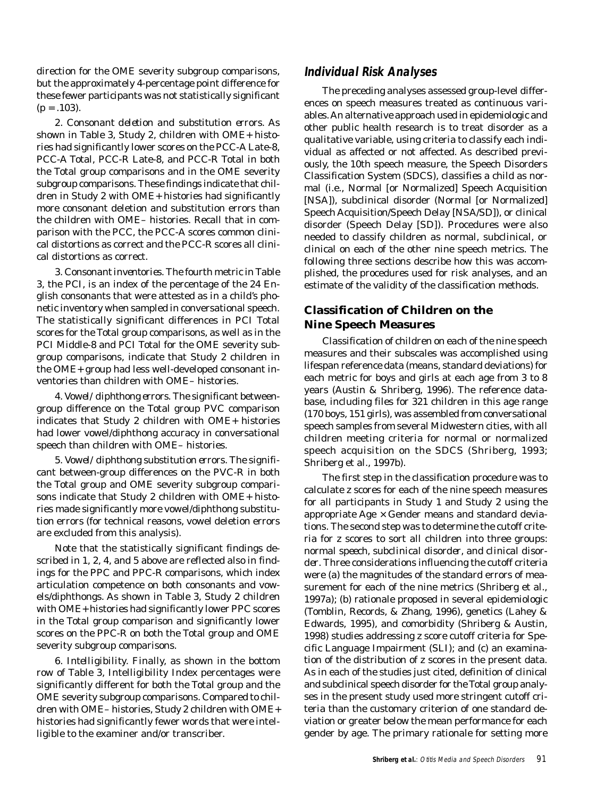direction for the OME severity subgroup comparisons, but the approximately 4-percentage point difference for these fewer participants was not statistically significant  $(p=.103)$ .

2. *Consonant deletion and substitution errors.* As shown in Table 3, Study 2, children with OME+ histories had significantly lower scores on the PCC-A Late-8, PCC-A Total, PCC-R Late-8, and PCC-R Total in both the Total group comparisons and in the OME severity subgroup comparisons. These findings indicate that children in Study 2 with OME+ histories had significantly more consonant deletion and substitution errors than the children with OME– histories. Recall that in comparison with the PCC, the PCC-A scores common clinical distortions as correct and the PCC-R scores all clinical distortions as correct.

3. *Consonant inventories.* The fourth metric in Table 3, the PCI, is an index of the percentage of the 24 English consonants that were attested as *in* a child's phonetic inventory when sampled in conversational speech. The statistically significant differences in PCI Total scores for the Total group comparisons, as well as in the PCI Middle-8 and PCI Total for the OME severity subgroup comparisons, indicate that Study 2 children in the OME+ group had less well-developed consonant inventories than children with OME– histories.

4. *Vowel/diphthong errors.* The significant betweengroup difference on the Total group PVC comparison indicates that Study 2 children with OME+ histories had lower vowel/diphthong accuracy in conversational speech than children with OME– histories.

5. *Vowel/diphthong substitution errors.* The significant between-group differences on the PVC-R in both the Total group and OME severity subgroup comparisons indicate that Study 2 children with OME+ histories made significantly more vowel/diphthong substitution errors (for technical reasons, vowel deletion errors are excluded from this analysis).

Note that the statistically significant findings described in 1, 2, 4, and 5 above are reflected also in findings for the PPC and PPC-R comparisons, which index articulation competence on both consonants and vowels/diphthongs. As shown in Table 3, Study 2 children with OME+ histories had significantly lower PPC scores in the Total group comparison and significantly lower scores on the PPC-R on both the Total group and OME severity subgroup comparisons.

6. *Intelligibility.* Finally, as shown in the bottom row of Table 3, Intelligibility Index percentages were significantly different for both the Total group and the OME severity subgroup comparisons. Compared to children with OME– histories, Study 2 children with OME+ histories had significantly fewer words that were intelligible to the examiner and/or transcriber.

### **Individual Risk Analyses**

The preceding analyses assessed group-level differences on speech measures treated as continuous variables. An alternative approach used in epidemiologic and other public health research is to treat disorder as a qualitative variable, using criteria to classify each individual as affected or not affected. As described previously, the 10th speech measure, the Speech Disorders Classification System (SDCS), classifies a child as normal (i.e., Normal [or Normalized] Speech Acquisition [NSA]), subclinical disorder (Normal [or Normalized] Speech Acquisition/Speech Delay [NSA/SD]), or clinical disorder (Speech Delay [SD]). Procedures were also needed to classify children as normal, subclinical, or clinical on each of the other nine speech metrics. The following three sections describe how this was accomplished, the procedures used for risk analyses, and an estimate of the validity of the classification methods.

## **Classification of Children on the Nine Speech Measures**

Classification of children on each of the nine speech measures and their subscales was accomplished using lifespan reference data (means, standard deviations) for each metric for boys and girls at each age from 3 to 8 years (Austin & Shriberg, 1996). The reference database, including files for 321 children in this age range (170 boys, 151 girls), was assembled from conversational speech samples from several Midwestern cities, with all children meeting criteria for normal or normalized speech acquisition on the SDCS (Shriberg, 1993; Shriberg et al., 1997b).

The first step in the classification procedure was to calculate *z* scores for each of the nine speech measures for all participants in Study 1 and Study 2 using the appropriate Age  $\times$  Gender means and standard deviations. The second step was to determine the cutoff criteria for *z* scores to sort all children into three groups: *normal speech*, *subclinical disorder*, and *clinical disorder*. Three considerations influencing the cutoff criteria were (a) the magnitudes of the standard errors of measurement for each of the nine metrics (Shriberg et al., 1997a); (b) rationale proposed in several epidemiologic (Tomblin, Records, & Zhang, 1996), genetics (Lahey & Edwards, 1995), and comorbidity (Shriberg & Austin, 1998) studies addressing *z* score cutoff criteria for Specific Language Impairment (SLI); and (c) an examination of the distribution of *z* scores in the present data. As in each of the studies just cited, definition of clinical and subclinical speech disorder for the Total group analyses in the present study used more stringent cutoff criteria than the customary criterion of one standard deviation or greater below the mean performance for each gender by age. The primary rationale for setting more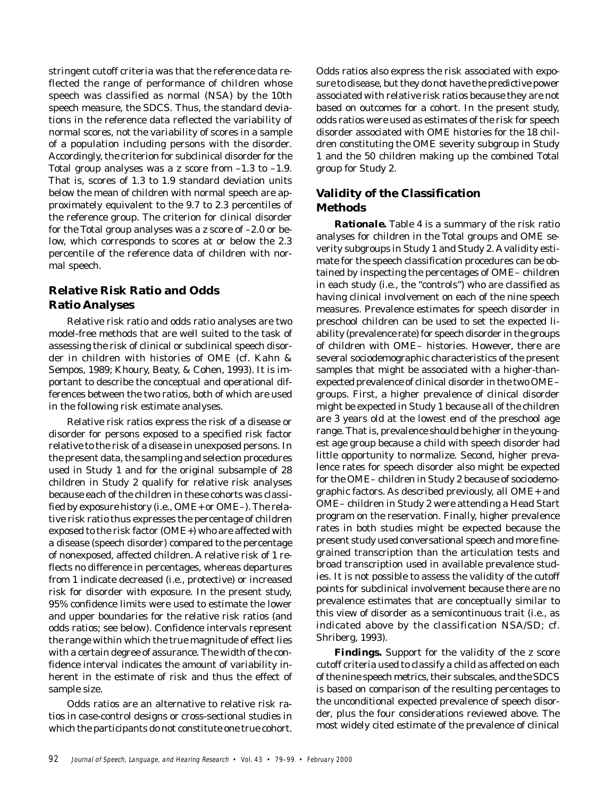stringent cutoff criteria was that the reference data reflected the range of performance of children whose speech was classified as normal (NSA) by the 10th speech measure, the SDCS. Thus, the standard deviations in the reference data reflected the variability of normal scores, not the variability of scores in a sample of a population including persons with the disorder. Accordingly, the criterion for subclinical disorder for the Total group analyses was a *z* score from –1.3 to –1.9. That is, scores of 1.3 to 1.9 standard deviation units below the mean of children with normal speech are approximately equivalent to the 9.7 to 2.3 percentiles of the reference group. The criterion for clinical disorder for the Total group analyses was a *z* score of –2.0 or below, which corresponds to scores at or below the 2.3 percentile of the reference data of children with normal speech.

# **Relative Risk Ratio and Odds Ratio Analyses**

Relative risk ratio and odds ratio analyses are two model-free methods that are well suited to the task of assessing the risk of clinical or subclinical speech disorder in children with histories of OME (cf. Kahn & Sempos, 1989; Khoury, Beaty, & Cohen, 1993). It is important to describe the conceptual and operational differences between the two ratios, both of which are used in the following risk estimate analyses.

Relative risk ratios express the risk of a disease or disorder for persons exposed to a specified risk factor relative to the risk of a disease in unexposed persons. In the present data, the sampling and selection procedures used in Study 1 and for the original subsample of 28 children in Study 2 qualify for relative risk analyses because each of the children in these cohorts was classified by exposure history (i.e., OME+ or OME–). The relative risk ratio thus expresses the percentage of children exposed to the risk factor (OME+) who are affected with a disease (speech disorder) compared to the percentage of nonexposed, affected children. A relative risk of 1 reflects no difference in percentages, whereas departures from 1 indicate decreased (i.e., protective) or increased risk for disorder with exposure. In the present study, 95% confidence limits were used to estimate the lower and upper boundaries for the relative risk ratios (and odds ratios; see below). Confidence intervals represent the range within which the true magnitude of effect lies with a certain degree of assurance. The width of the confidence interval indicates the amount of variability inherent in the estimate of risk and thus the effect of sample size.

Odds ratios are an alternative to relative risk ratios in case-control designs or cross-sectional studies in which the participants do not constitute one true cohort. Odds ratios also express the risk associated with exposure to disease, but they do not have the predictive power associated with relative risk ratios because they are not based on outcomes for a cohort. In the present study, odds ratios were used as estimates of the risk for speech disorder associated with OME histories for the 18 children constituting the OME severity subgroup in Study 1 and the 50 children making up the combined Total group for Study 2.

## **Validity of the Classification Methods**

*Rationale.* Table 4 is a summary of the risk ratio analyses for children in the Total groups and OME severity subgroups in Study 1 and Study 2. A validity estimate for the speech classification procedures can be obtained by inspecting the percentages of OME– children in each study (i.e., the "controls") who are classified as having clinical involvement on each of the nine speech measures. Prevalence estimates for speech disorder in preschool children can be used to set the expected liability (prevalence rate) for speech disorder in the groups of children with OME– histories. However, there are several sociodemographic characteristics of the present samples that might be associated with a higher-thanexpected prevalence of clinical disorder in the two OME– groups. First, a higher prevalence of clinical disorder might be expected in Study 1 because all of the children are 3 years old at the lowest end of the preschool age range. That is, prevalence should be higher in the youngest age group because a child with speech disorder had little opportunity to normalize. Second, higher prevalence rates for speech disorder also might be expected for the OME– children in Study 2 because of sociodemographic factors. As described previously, all OME+ and OME– children in Study 2 were attending a Head Start program on the reservation. Finally, higher prevalence rates in both studies might be expected because the present study used conversational speech and more finegrained transcription than the articulation tests and broad transcription used in available prevalence studies. It is not possible to assess the validity of the cutoff points for subclinical involvement because there are no prevalence estimates that are conceptually similar to this view of disorder as a semicontinuous trait (i.e., as indicated above by the classification NSA/SD; cf. Shriberg, 1993).

*Findings.* Support for the validity of the *z* score cutoff criteria used to classify a child as affected on each of the nine speech metrics, their subscales, and the SDCS is based on comparison of the resulting percentages to the unconditional expected prevalence of speech disorder, plus the four considerations reviewed above. The most widely cited estimate of the prevalence of clinical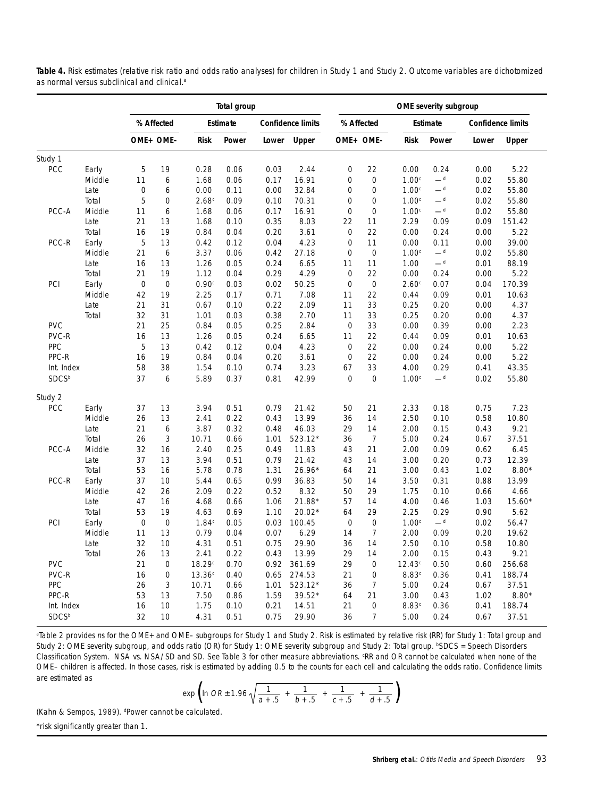**Table 4.** Risk estimates (relative risk ratio and odds ratio analyses) for children in Study 1 and Study 2. Outcome variables are dichotomized as normal versus subclinical and clinical.<sup>a</sup>

|               |        |             | <b>Total group</b> |                    |                 |       |                          |                  |                | OME severity subgroup |             |                          |         |  |  |  |
|---------------|--------|-------------|--------------------|--------------------|-----------------|-------|--------------------------|------------------|----------------|-----------------------|-------------|--------------------------|---------|--|--|--|
|               |        |             | % Affected         |                    | <b>Estimate</b> |       | <b>Confidence limits</b> |                  | % Affected     | Estimate              |             | <b>Confidence limits</b> |         |  |  |  |
|               |        |             | OME+ OME-          | <b>Risk</b>        | Power           | Lower | Upper                    |                  | OME+ OME-      | <b>Risk</b>           | Power       | Lower                    | Upper   |  |  |  |
| Study 1       |        |             |                    |                    |                 |       |                          |                  |                |                       |             |                          |         |  |  |  |
| <b>PCC</b>    | Early  | 5           | 19                 | 0.28               | 0.06            | 0.03  | 2.44                     | $\mathbf 0$      | 22             | 0.00                  | 0.24        | 0.00                     | 5.22    |  |  |  |
|               | Middle | 11          | 6                  | 1.68               | 0.06            | 0.17  | 16.91                    | 0                | 0              | 1.00 <sup>c</sup>     | $-d$        | 0.02                     | 55.80   |  |  |  |
|               | Late   | $\mathbf 0$ | 6                  | 0.00               | 0.11            | 0.00  | 32.84                    | 0                | $\mathbf 0$    | 1.00 <sup>c</sup>     | $-d$        | 0.02                     | 55.80   |  |  |  |
|               | Total  | 5           | $\mathbf 0$        | 2.68               | 0.09            | 0.10  | 70.31                    | 0                | $\mathbf 0$    | 1.00 <sup>c</sup>     | $-^{\rm d}$ | 0.02                     | 55.80   |  |  |  |
| PCC-A         | Middle | 11          | 6                  | 1.68               | 0.06            | 0.17  | 16.91                    | 0                | $\mathbf 0$    | 1.00 <sup>c</sup>     | $-d$        | 0.02                     | 55.80   |  |  |  |
|               | Late   | 21          | 13                 | 1.68               | 0.10            | 0.35  | 8.03                     | 22               | 11             | 2.29                  | 0.09        | 0.09                     | 151.42  |  |  |  |
|               | Total  | 16          | 19                 | 0.84               | 0.04            | 0.20  | 3.61                     | 0                | 22             | 0.00                  | 0.24        | 0.00                     | 5.22    |  |  |  |
| PCC-R         | Early  | 5           | 13                 | 0.42               | 0.12            | 0.04  | 4.23                     | 0                | 11             | 0.00                  | 0.11        | 0.00                     | 39.00   |  |  |  |
|               | Middle | 21          | 6                  | 3.37               | 0.06            | 0.42  | 27.18                    | $\mathbf 0$      | $\mathbf 0$    | 1.00 <sup>c</sup>     | $-d$        | 0.02                     | 55.80   |  |  |  |
|               | Late   | 16          | 13                 | 1.26               | 0.05            | 0.24  | 6.65                     | 11               | 11             | 1.00                  | $ ^{\rm d}$ | 0.01                     | 88.19   |  |  |  |
|               | Total  | 21          | 19                 | 1.12               | 0.04            | 0.29  | 4.29                     | $\mathbf 0$      | 22             | 0.00                  | 0.24        | 0.00                     | 5.22    |  |  |  |
| PCI           | Early  | $\mathbf 0$ | $\mathbf 0$        | 0.90 <sup>c</sup>  | 0.03            | 0.02  | 50.25                    | $\mathbf 0$      | 0              | 2.60 <sup>c</sup>     | 0.07        | 0.04                     | 170.39  |  |  |  |
|               | Middle | 42          | 19                 | 2.25               | 0.17            | 0.71  | 7.08                     | 11               | 22             | 0.44                  | 0.09        | 0.01                     | 10.63   |  |  |  |
|               | Late   | 21          | 31                 | 0.67               | 0.10            | 0.22  | 2.09                     | 11               | 33             | 0.25                  | 0.20        | 0.00                     | 4.37    |  |  |  |
|               | Total  | 32          | 31                 | 1.01               | 0.03            | 0.38  | 2.70                     | 11               | 33             | 0.25                  | 0.20        | 0.00                     | 4.37    |  |  |  |
| <b>PVC</b>    |        | 21          | 25                 | 0.84               | 0.05            | 0.25  | 2.84                     | $\mathbf 0$      | 33             | 0.00                  | 0.39        | 0.00                     | 2.23    |  |  |  |
|               |        |             |                    |                    |                 |       |                          |                  |                |                       |             |                          |         |  |  |  |
| PVC-R         |        | 16          | 13                 | 1.26               | 0.05            | 0.24  | 6.65                     | 11               | 22             | 0.44                  | 0.09        | 0.01                     | 10.63   |  |  |  |
| <b>PPC</b>    |        | 5           | 13                 | 0.42               | 0.12            | 0.04  | 4.23                     | $\boldsymbol{0}$ | 22             | 0.00                  | 0.24        | 0.00                     | 5.22    |  |  |  |
| PPC-R         |        | 16          | 19                 | 0.84               | 0.04            | 0.20  | 3.61                     | $\mathbf 0$      | 22             | 0.00                  | 0.24        | 0.00                     | 5.22    |  |  |  |
| Int. Index    |        | 58          | 38                 | 1.54               | 0.10            | 0.74  | 3.23                     | 67               | 33             | 4.00                  | 0.29        | 0.41                     | 43.35   |  |  |  |
| <b>SDCS</b> b |        | 37          | 6                  | 5.89               | 0.37            | 0.81  | 42.99                    | $\mathbf 0$      | $\mathbf 0$    | 1.00 <sup>c</sup>     | $-d$        | 0.02                     | 55.80   |  |  |  |
| Study 2       |        |             |                    |                    |                 |       |                          |                  |                |                       |             |                          |         |  |  |  |
| PCC           | Early  | 37          | 13                 | 3.94               | 0.51            | 0.79  | 21.42                    | 50               | 21             | 2.33                  | 0.18        | 0.75                     | 7.23    |  |  |  |
|               | Middle | 26          | 13                 | 2.41               | 0.22            | 0.43  | 13.99                    | 36               | 14             | 2.50                  | 0.10        | 0.58                     | 10.80   |  |  |  |
|               | Late   | 21          | 6                  | 3.87               | 0.32            | 0.48  | 46.03                    | 29               | 14             | 2.00                  | 0.15        | 0.43                     | 9.21    |  |  |  |
|               | Total  | 26          | 3                  | 10.71              | 0.66            | 1.01  | 523.12*                  | 36               | $\overline{7}$ | 5.00                  | 0.24        | 0.67                     | 37.51   |  |  |  |
| PCC-A         | Middle | 32          | 16                 | 2.40               | 0.25            | 0.49  | 11.83                    | 43               | 21             | 2.00                  | 0.09        | 0.62                     | 6.45    |  |  |  |
|               | Late   | 37          | 13                 | 3.94               | 0.51            | 0.79  | 21.42                    | 43               | 14             | 3.00                  | 0.20        | 0.73                     | 12.39   |  |  |  |
|               | Total  | 53          | 16                 | 5.78               | 0.78            | 1.31  | 26.96*                   | 64               | 21             | 3.00                  | 0.43        | 1.02                     | $8.80*$ |  |  |  |
| PCC-R         | Early  | 37          | 10                 | 5.44               | 0.65            | 0.99  | 36.83                    | 50               | 14             | 3.50                  | 0.31        | 0.88                     | 13.99   |  |  |  |
|               | Middle | 42          | 26                 | 2.09               | 0.22            | 0.52  | 8.32                     | 50               | 29             | 1.75                  | 0.10        | 0.66                     | 4.66    |  |  |  |
|               | Late   | 47          | 16                 | 4.68               | 0.66            | 1.06  | 21.88*                   | 57               | 14             | 4.00                  | 0.46        | 1.03                     | 15.60*  |  |  |  |
|               | Total  | 53          | 19                 | 4.63               | 0.69            | 1.10  | 20.02*                   | 64               | 29             | 2.25                  | 0.29        | 0.90                     | 5.62    |  |  |  |
| PCI           | Early  | $\mathbf 0$ | $\mathbf 0$        | 1.84c              | 0.05            | 0.03  | 100.45                   | $\mathbf 0$      | $\mathbf 0$    | 1.00 <sup>c</sup>     | $-d$        | 0.02                     | 56.47   |  |  |  |
|               | Middle | 11          | 13                 | 0.79               | 0.04            | 0.07  | 6.29                     | 14               | $\overline{7}$ | 2.00                  | 0.09        | 0.20                     | 19.62   |  |  |  |
|               | Late   | 32          | 10                 | 4.31               | 0.51            | 0.75  | 29.90                    | 36               | 14             | 2.50                  | 0.10        | 0.58                     | 10.80   |  |  |  |
|               | Total  | 26          | 13                 | 2.41               | 0.22            | 0.43  | 13.99                    | 29               | 14             | 2.00                  | 0.15        | 0.43                     | 9.21    |  |  |  |
| <b>PVC</b>    |        | 21          | $\mathbf 0$        | 18.29 <sup>c</sup> | 0.70            | 0.92  | 361.69                   | 29               | $\mathbf 0$    | 12.43c                | 0.50        | 0.60                     | 256.68  |  |  |  |
|               |        |             | $\mathbf 0$        |                    | 0.40            |       |                          | 21               | $\mathbf 0$    |                       |             |                          |         |  |  |  |
| PVC-R         |        | 16          |                    | 13.36c             |                 | 0.65  | 274.53                   |                  | $\overline{7}$ | 8.83c                 | 0.36        | 0.41                     | 188.74  |  |  |  |
| PPC<br>PPC-R  |        | 26<br>53    | 3                  | 10.71              | 0.66            | 1.01  | 523.12*                  | 36               | 21             | 5.00                  | 0.24        | 0.67                     | 37.51   |  |  |  |
|               |        |             | 13                 | 7.50               | 0.86            | 1.59  | 39.52*                   | 64               |                | 3.00                  | 0.43        | 1.02                     | $8.80*$ |  |  |  |
| Int. Index    |        | 16          | 10                 | 1.75               | 0.10            | 0.21  | 14.51                    | 21               | $\mathbf 0$    | 8.83c                 | 0.36        | 0.41                     | 188.74  |  |  |  |
| <b>SDCS</b> b |        | 32          | 10                 | 4.31               | 0.51            | 0.75  | 29.90                    | 36               | $\overline{7}$ | 5.00                  | 0.24        | 0.67                     | 37.51   |  |  |  |

a Table 2 provides ns for the OME+ and OME– subgroups for Study 1 and Study 2. Risk is estimated by relative risk (RR) for Study 1: Total group and Study 2: OME severity subgroup, and odds ratio (OR) for Study 1: OME severity subgroup and Study 2: Total group. bSDCS = Speech Disorders Classification System. NSA vs. NSA/SD and SD. See Table 3 for other measure abbreviations. <sup>c</sup>RR and OR cannot be calculated when none of the OME– children is affected. In those cases, risk is estimated by adding 0.5 to the counts for each cell and calculating the odds ratio. Confidence limits are estimated as

$$
\exp\left(\ln\,OR\pm 1.96\,\sqrt{\frac{1}{a+.5}+\frac{1}{b+.5}+\frac{1}{c+.5}+\frac{1}{d+.5}}\right)
$$

(Kahn & Sempos, 1989). <sup>d</sup>Power cannot be calculated.

\*risk significantly greater than 1.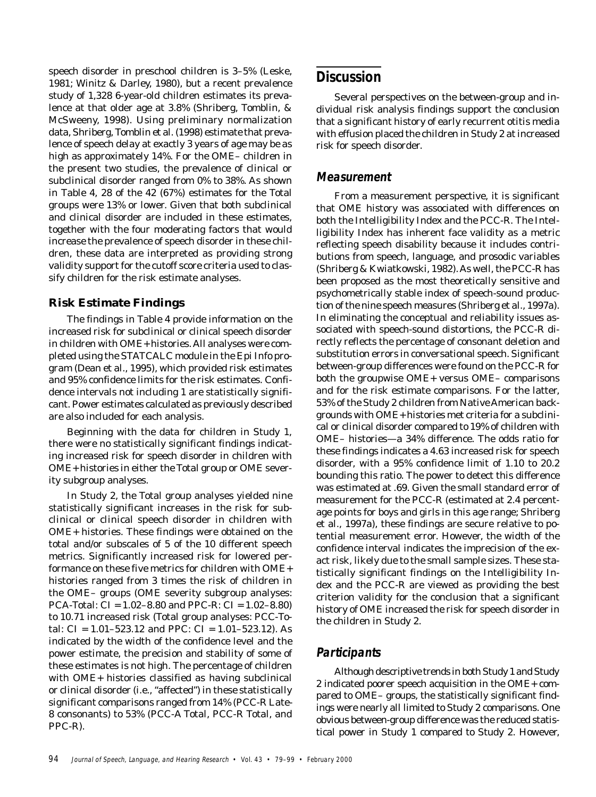speech disorder in preschool children is 3–5% (Leske, 1981; Winitz & Darley, 1980), but a recent prevalence study of 1,328 6-year-old children estimates its prevalence at that older age at 3.8% (Shriberg, Tomblin, & McSweeny, 1998). Using preliminary normalization data, Shriberg, Tomblin et al. (1998) estimate that prevalence of speech delay at exactly 3 years of age may be as high as approximately 14%. For the OME– children in the present two studies, the prevalence of clinical or subclinical disorder ranged from 0% to 38%. As shown in Table 4, 28 of the 42 (67%) estimates for the Total groups were 13% or lower. Given that both subclinical and clinical disorder are included in these estimates, together with the four moderating factors that would increase the prevalence of speech disorder in these children, these data are interpreted as providing strong validity support for the cutoff score criteria used to classify children for the risk estimate analyses.

### **Risk Estimate Findings**

The findings in Table 4 provide information on the increased risk for subclinical or clinical speech disorder in children with OME+ histories. All analyses were completed using the STATCALC module in the Epi Info program (Dean et al., 1995), which provided risk estimates and 95% confidence limits for the risk estimates. Confidence intervals not including 1 are statistically significant. Power estimates calculated as previously described are also included for each analysis.

Beginning with the data for children in Study 1, there were no statistically significant findings indicating increased risk for speech disorder in children with OME+ histories in either the Total group or OME severity subgroup analyses.

In Study 2, the Total group analyses yielded nine statistically significant increases in the risk for subclinical or clinical speech disorder in children with OME+ histories. These findings were obtained on the total and/or subscales of 5 of the 10 different speech metrics. Significantly increased risk for lowered performance on these five metrics for children with OME+ histories ranged from 3 times the risk of children in the OME– groups (OME severity subgroup analyses: PCA-Total: CI = 1.02–8.80 and PPC-R: CI = 1.02–8.80) to 10.71 increased risk (Total group analyses: PCC-Total: CI = 1.01–523.12 and PPC: CI = 1.01–523.12). As indicated by the width of the confidence level and the power estimate, the precision and stability of some of these estimates is not high. The percentage of children with OME+ histories classified as having subclinical or clinical disorder (i.e., "affected") in these statistically significant comparisons ranged from 14% (PCC-R Late-8 consonants) to 53% (PCC-A Total, PCC-R Total, and PPC-R).

# **Discussion**

Several perspectives on the between-group and individual risk analysis findings support the conclusion that a significant history of early recurrent otitis media with effusion placed the children in Study 2 at increased risk for speech disorder.

# **Measurement**

From a measurement perspective, it is significant that OME history was associated with differences on both the Intelligibility Index and the PCC-R. The Intelligibility Index has inherent face validity as a metric reflecting speech disability because it includes contributions from speech, language, and prosodic variables (Shriberg & Kwiatkowski, 1982). As well, the PCC-R has been proposed as the most theoretically sensitive and psychometrically stable index of speech-sound production of the nine speech measures (Shriberg et al., 1997a). In eliminating the conceptual and reliability issues associated with speech-sound distortions, the PCC-R directly reflects the percentage of consonant deletion and substitution errors in conversational speech. Significant between-group differences were found on the PCC-R for both the groupwise OME+ versus OME– comparisons and for the risk estimate comparisons. For the latter, 53% of the Study 2 children from Native American backgrounds with OME+ histories met criteria for a subclinical or clinical disorder compared to 19% of children with OME– histories—a 34% difference. The odds ratio for these findings indicates a 4.63 increased risk for speech disorder, with a 95% confidence limit of 1.10 to 20.2 bounding this ratio. The power to detect this difference was estimated at .69. Given the small standard error of measurement for the PCC-R (estimated at 2.4 percentage points for boys and girls in this age range; Shriberg et al., 1997a), these findings are secure relative to potential measurement error. However, the width of the confidence interval indicates the imprecision of the exact risk, likely due to the small sample sizes. These statistically significant findings on the Intelligibility Index and the PCC-R are viewed as providing the best criterion validity for the conclusion that a significant history of OME increased the risk for speech disorder in the children in Study 2.

# **Participants**

Although descriptive trends in both Study 1 and Study 2 indicated poorer speech acquisition in the OME+ compared to OME– groups, the statistically significant findings were nearly all limited to Study 2 comparisons. One obvious between-group difference was the reduced statistical power in Study 1 compared to Study 2. However,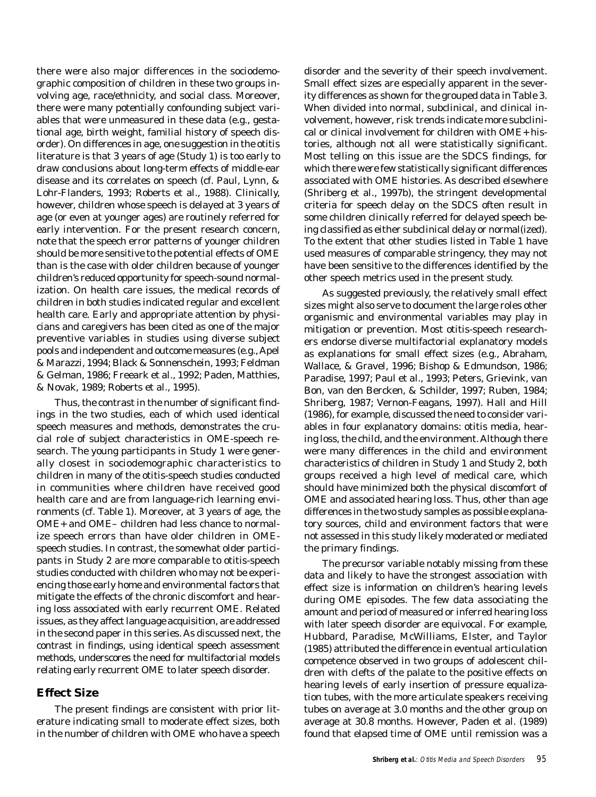there were also major differences in the sociodemographic composition of children in these two groups involving age, race/ethnicity, and social class. Moreover, there were many potentially confounding subject variables that were unmeasured in these data (e.g., gestational age, birth weight, familial history of speech disorder). On differences in age, one suggestion in the otitis literature is that 3 years of age (Study 1) is too early to draw conclusions about long-term effects of middle-ear disease and its correlates on speech (cf. Paul, Lynn, & Lohr-Flanders, 1993; Roberts et al., 1988). Clinically, however, children whose speech is delayed at 3 years of age (or even at younger ages) are routinely referred for early intervention. For the present research concern, note that the speech error patterns of younger children should be more sensitive to the potential effects of OME than is the case with older children because of younger children's reduced opportunity for speech-sound normalization. On health care issues, the medical records of children in both studies indicated regular and excellent health care. Early and appropriate attention by physicians and caregivers has been cited as one of the major preventive variables in studies using diverse subject pools and independent and outcome measures (e.g., Apel & Marazzi, 1994; Black & Sonnenschein, 1993; Feldman & Gelman, 1986; Freeark et al., 1992; Paden, Matthies, & Novak, 1989; Roberts et al., 1995).

Thus, the contrast in the number of significant findings in the two studies, each of which used identical speech measures and methods, demonstrates the crucial role of subject characteristics in OME-speech research. The young participants in Study 1 were generally closest in sociodemographic characteristics to children in many of the otitis-speech studies conducted in communities where children have received good health care and are from language-rich learning environments (cf. Table 1). Moreover, at 3 years of age, the OME+ and OME– children had less chance to normalize speech errors than have older children in OMEspeech studies. In contrast, the somewhat older participants in Study 2 are more comparable to otitis-speech studies conducted with children who may not be experiencing those early home and environmental factors that mitigate the effects of the chronic discomfort and hearing loss associated with early recurrent OME. Related issues, as they affect language acquisition, are addressed in the second paper in this series. As discussed next, the contrast in findings, using identical speech assessment methods, underscores the need for multifactorial models relating early recurrent OME to later speech disorder.

#### **Effect Size**

The present findings are consistent with prior literature indicating small to moderate effect sizes, both in the number of children with OME who have a speech disorder and the severity of their speech involvement. Small effect sizes are especially apparent in the severity differences as shown for the grouped data in Table 3. When divided into normal, subclinical, and clinical involvement, however, risk trends indicate more subclinical or clinical involvement for children with OME+ histories, although not all were statistically significant. Most telling on this issue are the SDCS findings, for which there were few statistically significant differences associated with OME histories. As described elsewhere (Shriberg et al., 1997b), the stringent developmental criteria for speech delay on the SDCS often result in some children clinically referred for delayed speech being classified as either subclinical delay or normal(ized). To the extent that other studies listed in Table 1 have used measures of comparable stringency, they may not have been sensitive to the differences identified by the other speech metrics used in the present study.

As suggested previously, the relatively small effect sizes might also serve to document the large roles other organismic and environmental variables may play in mitigation or prevention. Most otitis-speech researchers endorse diverse multifactorial explanatory models as explanations for small effect sizes (e.g., Abraham, Wallace, & Gravel, 1996; Bishop & Edmundson, 1986; Paradise, 1997; Paul et al., 1993; Peters, Grievink, van Bon, van den Bercken, & Schilder, 1997; Ruben, 1984; Shriberg, 1987; Vernon-Feagans, 1997). Hall and Hill (1986), for example, discussed the need to consider variables in four explanatory domains: otitis media, hearing loss, the child, and the environment. Although there were many differences in the child and environment characteristics of children in Study 1 and Study 2, both groups received a high level of medical care, which should have minimized both the physical discomfort of OME and associated hearing loss. Thus, other than age differences in the two study samples as possible explanatory sources, child and environment factors that were not assessed in this study likely moderated or mediated the primary findings.

The precursor variable notably missing from these data and likely to have the strongest association with effect size is information on children's hearing levels during OME episodes. The few data associating the amount and period of measured or inferred hearing loss with later speech disorder are equivocal. For example, Hubbard, Paradise, McWilliams, Elster, and Taylor (1985) attributed the difference in eventual articulation competence observed in two groups of adolescent children with clefts of the palate to the positive effects on hearing levels of early insertion of pressure equalization tubes, with the more articulate speakers receiving tubes on average at 3.0 months and the other group on average at 30.8 months. However, Paden et al. (1989) found that elapsed time of OME until remission was a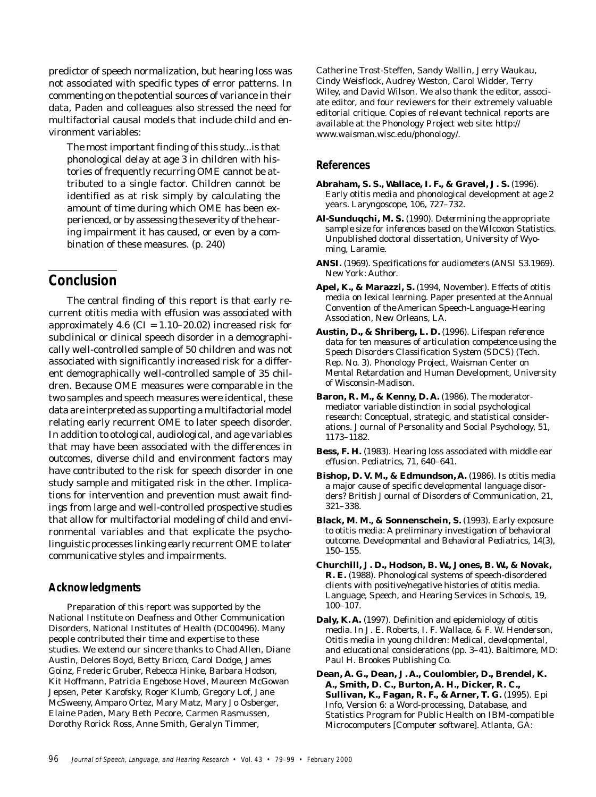predictor of speech normalization, but hearing loss was not associated with specific types of error patterns. In commenting on the potential sources of variance in their data, Paden and colleagues also stressed the need for multifactorial causal models that include child and environment variables:

The most important finding of this study...is that phonological delay at age 3 in children with histories of frequently recurring OME cannot be attributed to a single factor. Children cannot be identified as at risk simply by calculating the amount of time during which OME has been experienced, or by assessing the severity of the hearing impairment it has caused, or even by a combination of these measures. (p. 240)

# **Conclusion**

The central finding of this report is that early recurrent otitis media with effusion was associated with approximately 4.6 (CI =  $1.10-20.02$ ) increased risk for subclinical or clinical speech disorder in a demographically well-controlled sample of 50 children and was not associated with significantly increased risk for a different demographically well-controlled sample of 35 children. Because OME measures were comparable in the two samples and speech measures were identical, these data are interpreted as supporting a multifactorial model relating early recurrent OME to later speech disorder. In addition to otological, audiological, and age variables that may have been associated with the differences in outcomes, diverse child and environment factors may have contributed to the risk for speech disorder in one study sample and mitigated risk in the other. Implications for intervention and prevention must await findings from large and well-controlled prospective studies that allow for multifactorial modeling of child and environmental variables and that explicate the psycholinguistic processes linking early recurrent OME to later communicative styles and impairments.

#### **Acknowledgments**

Preparation of this report was supported by the National Institute on Deafness and Other Communication Disorders, National Institutes of Health (DC00496). Many people contributed their time and expertise to these studies. We extend our sincere thanks to Chad Allen, Diane Austin, Delores Boyd, Betty Bricco, Carol Dodge, James Goinz, Frederic Gruber, Rebecca Hinke, Barbara Hodson, Kit Hoffmann, Patricia Engebose Hovel, Maureen McGowan Jepsen, Peter Karofsky, Roger Klumb, Gregory Lof, Jane McSweeny, Amparo Ortez, Mary Matz, Mary Jo Osberger, Elaine Paden, Mary Beth Pecore, Carmen Rasmussen, Dorothy Rorick Ross, Anne Smith, Geralyn Timmer,

Catherine Trost-Steffen, Sandy Wallin, Jerry Waukau, Cindy Weisflock, Audrey Weston, Carol Widder, Terry Wiley, and David Wilson. We also thank the editor, associate editor, and four reviewers for their extremely valuable editorial critique. Copies of relevant technical reports are available at the Phonology Project web site: http:// www.waisman.wisc.edu/phonology/.

#### **References**

- **Abraham, S. S., Wallace, I. F., & Gravel, J. S.** (1996). Early otitis media and phonological development at age 2 years. *Laryngoscope, 106*, 727–732.
- **Al-Sunduqchi, M. S.** (1990). *Determining the appropriate sample size for inferences based on the Wilcoxon Statistics*. Unpublished doctoral dissertation, University of Wyoming, Laramie.
- **ANSI.** (1969). *Specifications for audiometers* (ANSI S3.1969). New York: Author.
- **Apel, K., & Marazzi, S.** (1994, November). *Effects of otitis media on lexical learning*. Paper presented at the Annual Convention of the American Speech-Language-Hearing Association, New Orleans, LA.
- **Austin, D., & Shriberg, L. D.** (1996). *Lifespan reference data for ten measures of articulation competence using the Speech Disorders Classification System (SDCS)* (Tech. Rep. No. 3). Phonology Project, Waisman Center on Mental Retardation and Human Development, University of Wisconsin-Madison.
- **Baron, R. M., & Kenny, D. A.** (1986). The moderatormediator variable distinction in social psychological research: Conceptual, strategic, and statistical considerations. *Journal of Personality and Social Psychology, 51*, 1173–1182.
- **Bess, F. H.** (1983). Hearing loss associated with middle ear effusion. *Pediatrics, 71*, 640–641.
- **Bishop, D. V. M., & Edmundson, A.** (1986). Is otitis media a major cause of specific developmental language disorders? *British Journal of Disorders of Communication, 21*, 321–338.
- **Black, M. M., & Sonnenschein, S.** (1993). Early exposure to otitis media: A preliminary investigation of behavioral outcome. *Developmental and Behavioral Pediatrics, 14*(3), 150–155.
- **Churchill, J. D., Hodson, B. W., Jones, B. W., & Novak, R. E.** (1988). Phonological systems of speech-disordered clients with positive/negative histories of otitis media. *Language, Speech, and Hearing Services in Schools, 19*, 100–107.
- **Daly, K. A.** (1997). Definition and epidemiology of otitis media. In J. E. Roberts, I. F. Wallace, & F. W. Henderson, *Otitis media in young children: Medical, developmental, and educational considerations* (pp. 3–41). Baltimore, MD: Paul H. Brookes Publishing Co.
- **Dean, A. G., Dean, J. A., Coulombier, D., Brendel, K. A., Smith, D. C., Burton, A. H., Dicker, R. C., Sullivan, K., Fagan, R. F., & Arner, T. G.** (1995). Epi Info, Version 6: a Word-processing, Database, and Statistics Program for Public Health on IBM-compatible Microcomputers [Computer software]. Atlanta, GA: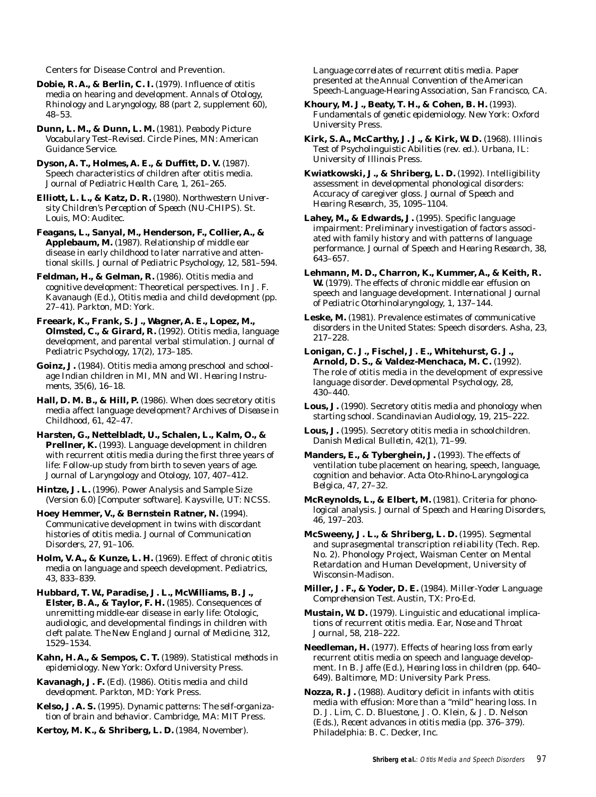Centers for Disease Control and Prevention.

**Dobie, R. A., & Berlin, C. I.** (1979). Influence of otitis media on hearing and development. *Annals of Otology, Rhinology and Laryngology, 88* (part 2, supplement 60), 48–53.

**Dunn, L. M., & Dunn, L. M.** (1981). *Peabody Picture Vocabulary Test–Revised.* Circle Pines, MN: American Guidance Service.

**Dyson, A. T., Holmes, A. E., & Duffitt, D. V.** (1987). Speech characteristics of children after otitis media. *Journal of Pediatric Health Care, 1*, 261–265.

**Elliott, L. L., & Katz, D. R.** (1980). *Northwestern University Children's Perception of Speech (NU-CHIPS)*. St. Louis, MO: Auditec.

**Feagans, L., Sanyal, M., Henderson, F., Collier, A., & Applebaum, M.** (1987). Relationship of middle ear disease in early childhood to later narrative and attentional skills. *Journal of Pediatric Psychology, 12*, 581–594.

**Feldman, H., & Gelman, R.** (1986). Otitis media and cognitive development: Theoretical perspectives. In J. F. Kavanaugh (Ed.), *Otitis media and child development* (pp. 27–41). Parkton, MD: York.

**Freeark, K., Frank, S. J., Wagner, A. E., Lopez, M., Olmsted, C., & Girard, R.** (1992). Otitis media, language development, and parental verbal stimulation. *Journal of Pediatric Psychology, 17*(2), 173–185.

**Goinz, J.** (1984). Otitis media among preschool and schoolage Indian children in MI, MN and WI. *Hearing Instruments, 35*(6), 16–18.

**Hall, D. M. B., & Hill, P.** (1986). When does secretory otitis media affect language development? *Archives of Disease in Childhood, 61*, 42–47.

**Harsten, G., Nettelbladt, U., Schalen, L., Kalm, O., & Prellner, K.** (1993). Language development in children with recurrent otitis media during the first three years of life: Follow-up study from birth to seven years of age. *Journal of Laryngology and Otology, 107*, 407–412.

**Hintze, J. L.** (1996). Power Analysis and Sample Size (Version 6.0) [Computer software]. Kaysville, UT: NCSS.

**Hoey Hemmer, V., & Bernstein Ratner, N.** (1994). Communicative development in twins with discordant histories of otitis media. *Journal of Communication Disorders, 27*, 91–106.

**Holm, V. A., & Kunze, L. H.** (1969). Effect of chronic otitis media on language and speech development. *Pediatrics, 43*, 833–839.

**Hubbard, T. W., Paradise, J. L., McWilliams, B. J., Elster, B. A., & Taylor, F. H.** (1985). Consequences of unremitting middle-ear disease in early life: Otologic, audiologic, and developmental findings in children with cleft palate. *The New England Journal of Medicine, 312*, 1529–1534.

**Kahn, H. A., & Sempos, C. T.** (1989). *Statistical methods in epidemiology*. New York: Oxford University Press.

**Kavanagh, J. F.** (Ed). (1986). *Otitis media and child development*. Parkton, MD: York Press.

**Kelso, J. A. S.** (1995). *Dynamic patterns: The self-organization of brain and behavior*. Cambridge, MA: MIT Press.

**Kertoy, M. K., & Shriberg, L. D.** (1984, November).

*Language correlates of recurrent otitis media*. Paper presented at the Annual Convention of the American Speech-Language-Hearing Association, San Francisco, CA.

**Khoury, M. J., Beaty, T. H., & Cohen, B. H.** (1993). *Fundamentals of genetic epidemiology.* New York: Oxford University Press.

**Kirk, S. A., McCarthy, J. J., & Kirk, W. D.** (1968). *Illinois Test of Psycholinguistic Abilities (rev. ed.).* Urbana, IL: University of Illinois Press.

**Kwiatkowski, J., & Shriberg, L. D.** (1992). Intelligibility assessment in developmental phonological disorders: Accuracy of caregiver gloss. *Journal of Speech and Hearing Research, 35*, 1095–1104.

Lahey, M., & Edwards, J. (1995). Specific language impairment: Preliminary investigation of factors associated with family history and with patterns of language performance. *Journal of Speech and Hearing Research, 38*, 643–657.

**Lehmann, M. D., Charron, K., Kummer, A., & Keith, R. W.** (1979). The effects of chronic middle ear effusion on speech and language development. *International Journal of Pediatric Otorhinolaryngology, 1*, 137–144.

**Leske, M.** (1981). Prevalence estimates of communicative disorders in the United States: Speech disorders. *Asha, 23*, 217–228.

**Lonigan, C. J., Fischel, J. E., Whitehurst, G. J., Arnold, D. S., & Valdez-Menchaca, M. C.** (1992). The role of otitis media in the development of expressive language disorder. *Developmental Psychology, 28*, 430–440.

**Lous, J.** (1990). Secretory otitis media and phonology when starting school. *Scandinavian Audiology, 19*, 215–222.

**Lous, J.** (1995). Secretory otitis media in schoolchildren. *Danish Medical Bulletin, 42*(1), 71–99.

**Manders, E., & Tyberghein, J.** (1993). The effects of ventilation tube placement on hearing, speech, language, cognition and behavior. *Acta Oto-Rhino-Laryngologica Belgica, 47*, 27–32.

**McReynolds, L., & Elbert, M.** (1981). Criteria for phonological analysis. *Journal of Speech and Hearing Disorders, 46*, 197–203.

**McSweeny, J. L., & Shriberg, L. D.** (1995). *Segmental and suprasegmental transcription reliability* (Tech. Rep. No. 2). Phonology Project, Waisman Center on Mental Retardation and Human Development, University of Wisconsin-Madison.

**Miller, J. F., & Yoder, D. E.** (1984). *Miller-Yoder Language Comprehension Test*. Austin, TX: Pro-Ed.

**Mustain, W. D.** (1979). Linguistic and educational implications of recurrent otitis media. *Ear, Nose and Throat Journal, 58*, 218–222.

**Needleman, H.** (1977). Effects of hearing loss from early recurrent otitis media on speech and language development. In B. Jaffe (Ed.), *Hearing loss in children* (pp. 640– 649). Baltimore, MD: University Park Press.

**Nozza, R. J.** (1988). Auditory deficit in infants with otitis media with effusion: More than a "mild" hearing loss. In D. J. Lim, C. D. Bluestone, J. O. Klein, & J. D. Nelson (Eds.), *Recent advances in otitis media* (pp. 376–379). Philadelphia: B. C. Decker, Inc.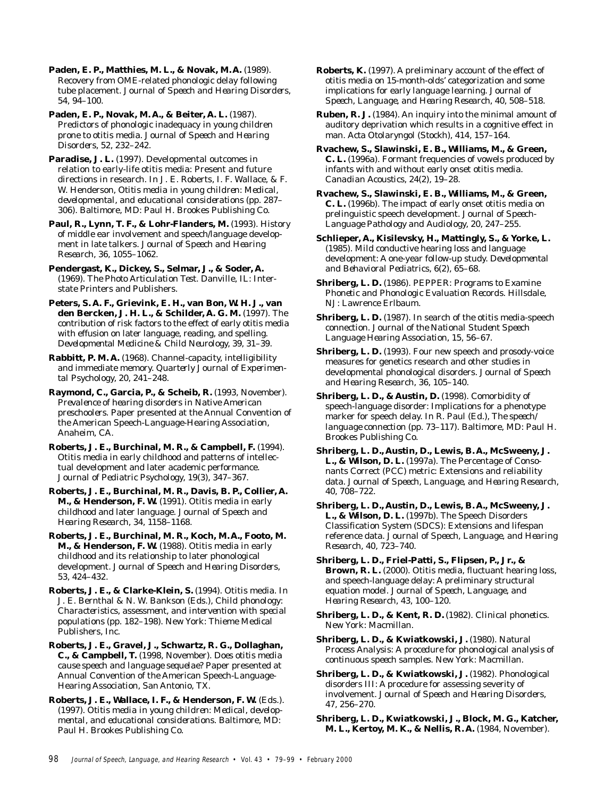**Paden, E. P., Matthies, M. L., & Novak, M. A.** (1989). Recovery from OME-related phonologic delay following tube placement. *Journal of Speech and Hearing Disorders, 54*, 94–100.

**Paden, E. P., Novak, M. A., & Beiter, A. L.** (1987). Predictors of phonologic inadequacy in young children prone to otitis media. *Journal of Speech and Hearing Disorders, 52*, 232–242.

**Paradise, J. L.** (1997). Developmental outcomes in relation to early-life otitis media: Present and future directions in research. In J. E. Roberts, I. F. Wallace, & F. W. Henderson, *Otitis media in young children: Medical, developmental, and educational considerations* (pp. 287– 306). Baltimore, MD: Paul H. Brookes Publishing Co.

**Paul, R., Lynn, T. F., & Lohr-Flanders, M.** (1993). History of middle ear involvement and speech/language development in late talkers. *Journal of Speech and Hearing Research, 36*, 1055–1062.

**Pendergast, K., Dickey, S., Selmar, J., & Soder, A.** (1969). *The Photo Articulation Test.* Danville, IL: Interstate Printers and Publishers.

**Peters, S. A. F., Grievink, E. H., van Bon, W. H. J., van den Bercken, J. H. L., & Schilder, A. G. M.** (1997). The contribution of risk factors to the effect of early otitis media with effusion on later language, reading, and spelling. *Developmental Medicine & Child Neurology, 39*, 31–39.

**Rabbitt, P. M. A.** (1968). Channel-capacity, intelligibility and immediate memory. *Quarterly Journal of Experimental Psychology, 20*, 241–248.

**Raymond, C., Garcia, P., & Scheib, R.** (1993, November). *Prevalence of hearing disorders in Native American preschoolers*. Paper presented at the Annual Convention of the American Speech-Language-Hearing Association, Anaheim, CA.

**Roberts, J. E., Burchinal, M. R., & Campbell, F.** (1994). Otitis media in early childhood and patterns of intellectual development and later academic performance. *Journal of Pediatric Psychology, 19*(3), 347–367.

**Roberts, J. E., Burchinal, M. R., Davis, B. P., Collier, A. M., & Henderson, F. W.** (1991). Otitis media in early childhood and later language. *Journal of Speech and Hearing Research, 34*, 1158–1168.

**Roberts, J. E., Burchinal, M. R., Koch, M. A., Footo, M. M., & Henderson, F. W.** (1988). Otitis media in early childhood and its relationship to later phonological development. *Journal of Speech and Hearing Disorders, 53*, 424–432.

**Roberts, J. E., & Clarke-Klein, S.** (1994). Otitis media. In J. E. Bernthal & N. W. Bankson (Eds.), *Child phonology: Characteristics, assessment, and intervention with special populations* (pp. 182–198). New York: Thieme Medical Publishers, Inc.

**Roberts, J. E., Gravel, J., Schwartz, R. G., Dollaghan, C., & Campbell, T.** (1998, November). *Does otitis media cause speech and language sequelae?* Paper presented at Annual Convention of the American Speech-Language-Hearing Association, San Antonio, TX.

**Roberts, J. E., Wallace, I. F., & Henderson, F. W.** (Eds.). (1997). *Otitis media in young children: Medical, developmental, and educational considerations*. Baltimore, MD: Paul H. Brookes Publishing Co.

**Roberts, K.** (1997). A preliminary account of the effect of otitis media on 15-month-olds' categorization and some implications for early language learning. *Journal of Speech, Language, and Hearing Research, 40*, 508–518.

**Ruben, R. J.** (1984). An inquiry into the minimal amount of auditory deprivation which results in a cognitive effect in man. *Acta Otolaryngol (Stockh), 414*, 157–164.

**Rvachew, S., Slawinski, E. B., Williams, M., & Green, C. L.** (1996a). Formant frequencies of vowels produced by infants with and without early onset otitis media. *Canadian Acoustics, 24*(2), 19–28.

**Rvachew, S., Slawinski, E. B., Williams, M., & Green, C. L.** (1996b). The impact of early onset otitis media on prelinguistic speech development. *Journal of Speech-Language Pathology and Audiology, 20*, 247–255.

**Schlieper, A., Kisilevsky, H., Mattingly, S., & Yorke, L.** (1985). Mild conductive hearing loss and language development: A one-year follow-up study. *Developmental and Behavioral Pediatrics, 6*(2), 65–68.

**Shriberg, L. D.** (1986). *PEPPER: Programs to Examine Phonetic and Phonologic Evaluation Records*. Hillsdale, NJ: Lawrence Erlbaum.

**Shriberg, L. D.** (1987). In search of the otitis media-speech connection. *Journal of the National Student Speech Language Hearing Association, 15*, 56–67.

**Shriberg, L. D.** (1993). Four new speech and prosody-voice measures for genetics research and other studies in developmental phonological disorders. *Journal of Speech and Hearing Research, 36*, 105–140.

**Shriberg, L. D., & Austin, D.** (1998). Comorbidity of speech-language disorder: Implications for a phenotype marker for speech delay. In R. Paul (Ed.), *The speech/ language connection* (pp. 73–117). Baltimore, MD: Paul H. Brookes Publishing Co.

**Shriberg, L. D., Austin, D., Lewis, B. A., McSweeny, J. L., & Wilson, D. L.** (1997a). The Percentage of Consonants Correct (PCC) metric: Extensions and reliability data. *Journal of Speech, Language, and Hearing Research, 40*, 708–722*.*

**Shriberg, L. D., Austin, D., Lewis, B. A., McSweeny, J. L., & Wilson, D. L.** (1997b). The Speech Disorders Classification System (SDCS): Extensions and lifespan reference data. *Journal of Speech, Language, and Hearing Research, 40*, 723–740*.*

**Shriberg, L. D., Friel-Patti, S., Flipsen, P., Jr., & Brown, R. L.** (2000). Otitis media, fluctuant hearing loss, and speech-language delay: A preliminary structural equation model. *Journal of Speech, Language, and Hearing Research, 43,* 100–120.

**Shriberg, L. D., & Kent, R. D.** (1982). *Clinical phonetics.* New York: Macmillan.

**Shriberg, L. D., & Kwiatkowski, J.** (1980). *Natural Process Analysis: A procedure for phonological analysis of continuous speech samples*. New York: Macmillan.

**Shriberg, L. D., & Kwiatkowski, J.** (1982). Phonological disorders III: A procedure for assessing severity of involvement. *Journal of Speech and Hearing Disorders, 47*, 256–270.

**Shriberg, L. D., Kwiatkowski, J., Block, M. G., Katcher, M. L., Kertoy, M. K., & Nellis, R. A.** (1984, November).